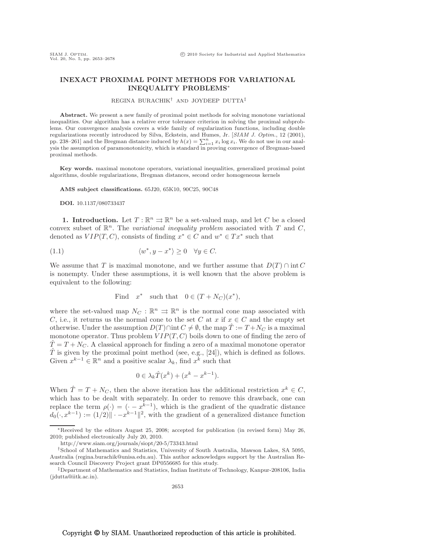# INEXACT PROXIMAL POINT METHODS FOR VARIATIONAL INEQUALITY PROBLEMS<sup>∗</sup>

#### REGINA BURACHIK† AND JOYDEEP DUTTA‡

Abstract. We present a new family of proximal point methods for solving monotone variational inequalities. Our algorithm has a relative error tolerance criterion in solving the proximal subproblems. Our convergence analysis covers a wide family of regularization functions, including double regularizations recently introduced by Silva, Eckstein, and Humes, Jr. [*SIAM J. Optim.*, 12 (2001), pp. 238–261] and the Bregman distance induced by  $h(x) = \sum_{i=1}^{n} x_i \log x_i$ . We do not use in our analysis the assumption of paramonotonicity, which is standard in proving convergence of Bregman-based proximal methods.

Key words. maximal monotone operators, variational inequalities, generalized proximal point algorithms, double regularizations, Bregman distances, second order homogeneous kernels

AMS subject classifications. 65J20, 65K10, 90C25, 90C48

DOI. 10.1137/080733437

**1. Introduction.** Let  $T : \mathbb{R}^n \rightrightarrows \mathbb{R}^n$  be a set-valued map, and let C be a closed convex subset of  $\mathbb{R}^n$ . The *variational inequality problem* associated with T and C, denoted as  $VIP(T, C)$ , consists of finding  $x^* \in C$  and  $w^* \in Tx^*$  such that

(1.1) 
$$
\langle w^*, y - x^* \rangle \ge 0 \quad \forall y \in C.
$$

We assume that T is maximal monotone, and we further assume that  $D(T) \cap \text{int } C$ is nonempty. Under these assumptions, it is well known that the above problem is equivalent to the following:

Find 
$$
x^*
$$
 such that  $0 \in (T + N_C)(x^*)$ ,

where the set-valued map  $N_C : \mathbb{R}^n \Rightarrow \mathbb{R}^n$  is the normal cone map associated with C, i.e., it returns us the normal cone to the set C at x if  $x \in C$  and the empty set otherwise. Under the assumption  $D(T) \cap \text{int } C \neq \emptyset$ , the map  $\hat{T} := T + N_C$  is a maximal monotone operator. Thus problem  $VIP(T, C)$  boils down to one of finding the zero of  $\hat{T} = T + N_C$ . A classical approach for finding a zero of a maximal monotone operator  $\hat{T}$  is given by the proximal point method (see, e.g., [24]), which is defined as follows. Given  $x^{k-1} \in \mathbb{R}^n$  and a positive scalar  $\lambda_k$ , find  $x^k$  such that

$$
0 \in \lambda_k \hat{T}(x^k) + (x^k - x^{k-1}).
$$

When  $\hat{T} = T + N_C$ , then the above iteration has the additional restriction  $x^k \in C$ , which has to be dealt with separately. In order to remove this drawback, one can replace the term  $\rho(\cdot)=(\cdot-x^{k-1})$ , which is the gradient of the quadratic distance  $d_0(\cdot, x^{k-1}) := (1/2) \|\cdot - x^{k-1}\|^2$ , with the gradient of a generalized distance function

<sup>∗</sup>Received by the editors August 25, 2008; accepted for publication (in revised form) May 26, 2010; published electronically July 20, 2010.

http://www.siam.org/journals/siopt/20-5/73343.html

<sup>†</sup>School of Mathematics and Statistics, University of South Australia, Mawson Lakes, SA 5095, Australia (regina.burachik@unisa.edu.au). This author acknowledges support by the Australian Research Council Discovery Project grant DP0556685 for this study.

<sup>‡</sup>Department of Mathematics and Statistics, Indian Institute of Technology, Kanpur-208106, India (jdutta@iitk.ac.in).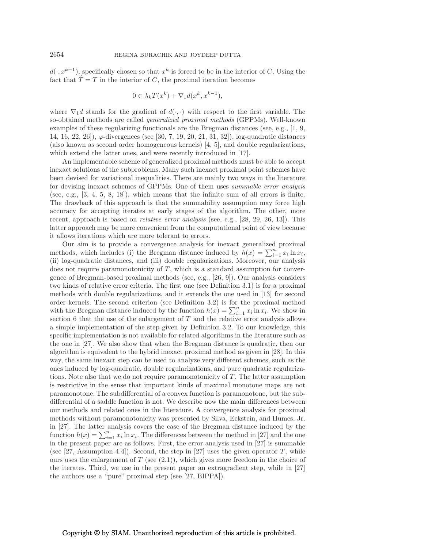$d(\cdot, x^{k-1})$ , specifically chosen so that  $x^k$  is forced to be in the interior of C. Using the fact that  $\hat{T} = T$  in the interior of C, the proximal iteration becomes

$$
0 \in \lambda_k T(x^k) + \nabla_1 d(x^k, x^{k-1}),
$$

where  $\nabla_1 d$  stands for the gradient of  $d(\cdot, \cdot)$  with respect to the first variable. The so-obtained methods are called *generalized proximal methods* (GPPMs). Well-known examples of these regularizing functionals are the Bregman distances (see, e.g., [1, 9, 14, 16, 22, 26]),  $\varphi$ -divergences (see [30, 7, 19, 20, 21, 31, 32]), log-quadratic distances (also known as second order homogeneous kernels) [4, 5], and double regularizations, which extend the latter ones, and were recently introduced in [17].

An implementable scheme of generalized proximal methods must be able to accept inexact solutions of the subproblems. Many such inexact proximal point schemes have been devised for variational inequalities. There are mainly two ways in the literature for devising inexact schemes of GPPMs. One of them uses *summable error analysis* (see, e.g., [3, 4, 5, 8, 18]), which means that the infinite sum of all errors is finite. The drawback of this approach is that the summability assumption may force high accuracy for accepting iterates at early stages of the algorithm. The other, more recent, approach is based on *relative error analysis* (see, e.g., [28, 29, 26, 13]). This latter approach may be more convenient from the computational point of view because it allows iterations which are more tolerant to errors.

Our aim is to provide a convergence analysis for inexact generalized proximal methods, which includes (i) the Bregman distance induced by  $h(x) = \sum_{i=1}^{n} x_i \ln x_i$ , (ii) log-quadratic distances, and (iii) double regularizations. Moreover, our analysis does not require paramonotonicity of  $T$ , which is a standard assumption for convergence of Bregman-based proximal methods (see, e.g., [26, 9]). Our analysis considers two kinds of relative error criteria. The first one (see Definition 3.1) is for a proximal methods with double regularizations, and it extends the one used in [13] for second order kernels. The second criterion (see Definition 3.2) is for the proximal method with the Bregman distance induced by the function  $h(x) = \sum_{i=1}^{n} x_i \ln x_i$ . We show in section 6 that the use of the enlargement of  $T$  and the relative error analysis allows a simple implementation of the step given by Definition 3.2. To our knowledge, this specific implementation is not available for related algorithms in the literature such as the one in [27]. We also show that when the Bregman distance is quadratic, then our algorithm is equivalent to the hybrid inexact proximal method as given in [28]. In this way, the same inexact step can be used to analyze very different schemes, such as the ones induced by log-quadratic, double regularizations, and pure quadratic regularizations. Note also that we do not require paramonotonicity of  $T$ . The latter assumption is restrictive in the sense that important kinds of maximal monotone maps are not paramonotone. The subdifferential of a convex function is paramonotone, but the subdifferential of a saddle function is not. We describe now the main differences between our methods and related ones in the literature. A convergence analysis for proximal methods without paramonotonicity was presented by Silva, Eckstein, and Humes, Jr. in [27]. The latter analysis covers the case of the Bregman distance induced by the function  $h(x) = \sum_{i=1}^{n} x_i \ln x_i$ . The differences between the method in [27] and the one in the present paper are as follows. First, the error analysis used in [27] is summable (see [27, Assumption 4.4]). Second, the step in [27] uses the given operator T, while ours uses the enlargement of  $T$  (see  $(2.1)$ ), which gives more freedom in the choice of the iterates. Third, we use in the present paper an extragradient step, while in [27] the authors use a "pure" proximal step (see [27, BIPPA]).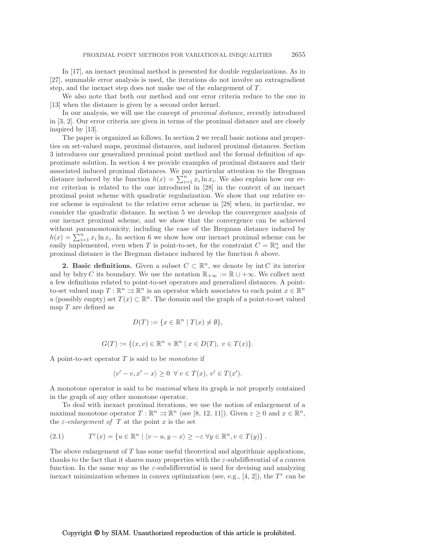In [17], an inexact proximal method is presented for double regularizations. As in [27], summable error analysis is used, the iterations do not involve an extragradient step, and the inexact step does not make use of the enlargement of  $T$ .

We also note that both our method and our error criteria reduce to the one in [13] when the distance is given by a second order kernel.

In our analysis, we will use the concept of *proximal distance*, recently introduced in [3, 2]. Our error criteria are given in terms of the proximal distance and are closely inspired by [13].

The paper is organized as follows. In section 2 we recall basic notions and properties on set-valued maps, proximal distances, and induced proximal distances. Section 3 introduces our generalized proximal point method and the formal definition of approximate solution. In section 4 we provide examples of proximal distances and their associated induced proximal distances. We pay particular attention to the Bregman distance induced by the function  $h(x) = \sum_{i=1}^{n} x_i \ln x_i$ . We also explain how our error criterion is related to the one introduced in [28] in the context of an inexact proximal point scheme with quadratic regularization. We show that our relative error scheme is equivalent to the relative error scheme in [28] when, in particular, we consider the quadratic distance. In section 5 we develop the convergence analysis of our inexact proximal scheme, and we show that the convergence can be achieved without paramonotonicity, including the case of the Bregman distance induced by  $h(x) = \sum_{i=1}^{n} x_i \ln x_i$ . In section 6 we show how our inexact proximal scheme can be easily implemented, even when T is point-to-set, for the constraint  $C = \mathbb{R}^n_+$  and the proximal distance is the Bregman distance induced by the function h above.

2. Basic definitions. Given a subset  $C \subset \mathbb{R}^n$ , we denote by int C its interior and by bdry C its boundary. We use the notation  $\mathbb{R}_{+\infty} := \mathbb{R} \cup +\infty$ . We collect next a few definitions related to point-to-set operators and generalized distances. A pointto-set valued map  $T : \mathbb{R}^n \rightrightarrows \mathbb{R}^n$  is an operator which associates to each point  $x \in \mathbb{R}^n$ a (possibly empty) set  $T(x) \subset \mathbb{R}^n$ . The domain and the graph of a point-to-set valued map  $T$  are defined as

$$
D(T) := \{ x \in \mathbb{R}^n \mid T(x) \neq \emptyset \},\
$$

$$
G(T) := \{(x, v) \in \mathbb{R}^n \times \mathbb{R}^n \mid x \in D(T), v \in T(x)\}.
$$

A point-to-set operator T is said to be *monotone* if

$$
\langle v'-v, x'-x \rangle \ge 0 \ \forall \ v \in T(x), \ v' \in T(x').
$$

A monotone operator is said to be *maximal* when its graph is not properly contained in the graph of any other monotone operator.

To deal with inexact proximal iterations, we use the notion of enlargement of a maximal monotone operator  $T : \mathbb{R}^n \implies \mathbb{R}^n$  (see [8, 12, 11]). Given  $\varepsilon \ge 0$  and  $x \in \mathbb{R}^n$ , the  $\varepsilon$ -enlargement of T at the point x is the set

(2.1) 
$$
T^{\varepsilon}(x) = \{u \in \mathbb{R}^n \mid \langle v - u, y - x \rangle \geq -\varepsilon \ \forall y \in \mathbb{R}^n, v \in T(y)\}.
$$

The above enlargement of T has some useful theoretical and algorithmic applications, thanks to the fact that it shares many properties with the  $\varepsilon$ -subdifferential of a convex function. In the same way as the  $\varepsilon$ -subdifferential is used for devising and analyzing inexact minimization schemes in convex optimization (see, e.g., [4, 2]), the  $T^{\varepsilon}$  can be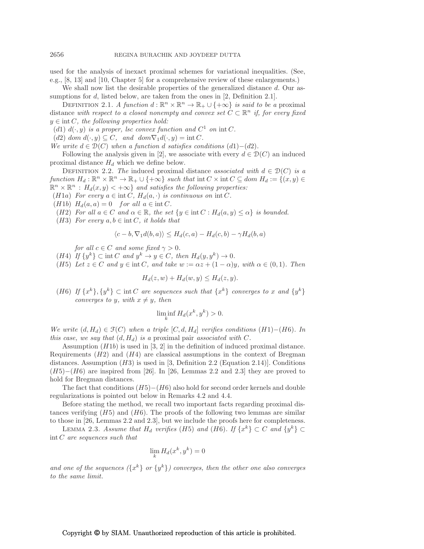used for the analysis of inexact proximal schemes for variational inequalities. (See, e.g., [8, 13] and [10, Chapter 5] for a comprehensive review of these enlargements.)

We shall now list the desirable properties of the generalized distance  $d$ . Our assumptions for d, listed below, are taken from the ones in [2, Definition 2.1].

DEFINITION 2.1. *A function*  $d : \mathbb{R}^n \times \mathbb{R}^n \to \mathbb{R}_+ \cup \{+\infty\}$  *is said to be a* proximal distance *with respect to a closed nonempty and convex set*  $C \subset \mathbb{R}^n$  *if, for every fixed* y ∈ int C*, the following properties hold:*

(d1)  $d(\cdot, y)$  *is a proper, lsc convex function and*  $C^1$  *on* int C.

(d2) dom  $d(\cdot, y) \subseteq C$ , and dom  $\nabla_1 d(\cdot, y) = \text{int } C$ .

*We write*  $d \in \mathcal{D}(C)$  *when a function d satisfies conditions*  $(d1) - (d2)$ *.* 

Following the analysis given in [2], we associate with every  $d \in \mathcal{D}(C)$  an induced proximal distance  $H_d$  which we define below.

DEFINITION 2.2. *The* induced proximal distance *associated with*  $d \in \mathcal{D}(C)$  *is a function*  $H_d: \mathbb{R}^n \times \mathbb{R}^n \to \mathbb{R}_+ \cup \{+\infty\}$  *such that* int  $C \times \text{int } C \subseteq \text{dom } H_d := \{(x, y) \in$  $\mathbb{R}^n \times \mathbb{R}^n : H_d(x, y) < +\infty$  *and satisfies the following properties:* 

(*H*1a) *For every*  $a \in \text{int } C$ ,  $H_d(a, \cdot)$  *is continuous on*  $\text{int } C$ *.* 

- (*H*1*b*)  $H_d(a, a) = 0$  *for all*  $a \in \text{int } C$ *.*
- (H2) For all  $a \in C$  and  $\alpha \in \mathbb{R}$ , the set  $\{y \in \text{int } C : H_d(a, y) \leq \alpha\}$  is bounded.
- (*H3*) *For every*  $a, b \in \text{int } C$ *, it holds that*

$$
\langle c-b, \nabla_1 d(b, a) \rangle \le H_d(c, a) - H_d(c, b) - \gamma H_d(b, a)
$$

*for all*  $c \in C$  *and some fixed*  $\gamma > 0$ *.* 

- (*H*4) *If*  $\{y^k\} \subset \text{int } C$  *and*  $y^k \to y \in C$ *, then*  $H_d(y, y^k) \to 0$ *.*
- (H5) Let  $z \in C$  and  $y \in \text{int } C$ , and take  $w := \alpha z + (1 \alpha)y$ , with  $\alpha \in (0, 1)$ *. Then*

$$
H_d(z, w) + H_d(w, y) \le H_d(z, y).
$$

(*H*6) *If*  $\{x^k\}, \{y^k\} \subset \text{int } C$  *are sequences such that*  $\{x^k\}$  *converges to* x *and*  $\{y^k\}$ *converges to y, with*  $x \neq y$ *, then* 

$$
\liminf_{k} H_d(x^k, y^k) > 0.
$$

*We write*  $(d, H_d)$  ∈  $\mathcal{F}(C)$  *when a triple* [C, d, H<sub>d</sub>] *verifies conditions* (H1)−(H6)*.* In *this case, we say that*  $(d, H_d)$  *is a* proximal pair *associated with* C.

Assumption  $(H1b)$  is used in [3, 2] in the definition of induced proximal distance. Requirements  $(H2)$  and  $(H4)$  are classical assumptions in the context of Bregman distances. Assumption  $(H3)$  is used in [3, Definition 2.2 (Equation 2.14)]. Conditions  $(H5)–(H6)$  are inspired from [26]. In [26, Lemmas 2.2 and 2.3] they are proved to hold for Bregman distances.

The fact that conditions  $(H5)-(H6)$  also hold for second order kernels and double regularizations is pointed out below in Remarks 4.2 and 4.4.

Before stating the method, we recall two important facts regarding proximal distances verifying  $(H5)$  and  $(H6)$ . The proofs of the following two lemmas are similar to those in [26, Lemmas 2.2 and 2.3], but we include the proofs here for completeness.

LEMMA 2.3. *Assume that*  $H_d$  *verifies* (*H5*) *and* (*H6*)*. If*  $\{x^k\} \subset C$  *and*  $\{y^k\} \subset C$ int C *are sequences such that*

$$
\lim_{k} H_d(x^k, y^k) = 0
$$

*and one of the sequences*  $({x^k}$  *or*  ${y^k}$ *) converges, then the other one also converges to the same limit.*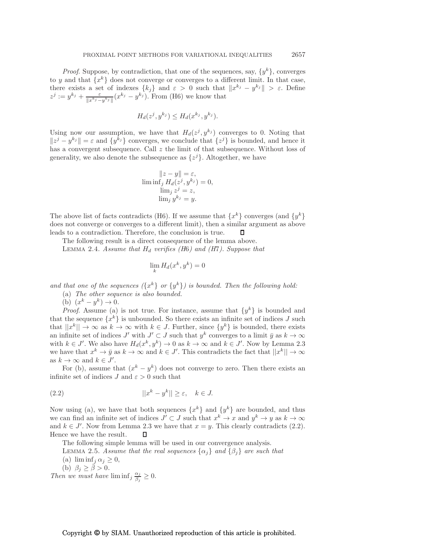*Proof.* Suppose, by contradiction, that one of the sequences, say,  $\{y^k\}$ , converges to y and that  $\{x^k\}$  does not converge or converges to a different limit. In that case, there exists a set of indexes  $\{k_j\}$  and  $\varepsilon > 0$  such that  $||x^{k_j} - y^{k_j}|| > \varepsilon$ . Define  $z^j := y^{k_j} + \frac{\varepsilon}{\ln x^{k_j}}$  $\frac{\varepsilon}{\|x^{k_j} - y^{k_j}\|}(x^{k_j} - y^{k_j})$ . From (H6) we know that

$$
H_d(z^j, y^{k_j}) \le H_d(x^{k_j}, y^{k_j}).
$$

Using now our assumption, we have that  $H_d(z^j, y^{k_j})$  converges to 0. Noting that  $||z^j - y^{k_j}|| = \varepsilon$  and  $\{y^{k_j}\}\)$  converges, we conclude that  $\{z^j\}$  is bounded, and hence it has a convergent subsequence. Call z the limit of that subsequence. Without loss of generality, we also denote the subsequence as  $\{z^j\}$ . Altogether, we have

$$
||z - y|| = \varepsilon,
$$
  
\n
$$
\liminf_j H_d(z^j, y^{k_j}) = 0,
$$
  
\n
$$
\lim_j z^j = z,
$$
  
\n
$$
\lim_j y^{k_j} = y.
$$

The above list of facts contradicts (H6). If we assume that  $\{x^k\}$  converges (and  $\{y^k\}$ does not converge or converges to a different limit), then a similar argument as above leads to a contradiction. Therefore, the conclusion is true. П

The following result is a direct consequence of the lemma above.

LEMMA 2.4. *Assume that*  $H_d$  *verifies (H6)* and (H7). Suppose that

$$
\lim_{k} H_d(x^k, y^k) = 0
$$

*and that one of the sequences*  $({x^k}$  *or*  ${y^k}$ *) is bounded. Then the following hold:* 

(a) *The other sequence is also bounded.*

(b)  $(x^k - y^k) \to 0.$ 

*Proof.* Assume (a) is not true. For instance, assume that  $\{y^k\}$  is bounded and that the sequence  $\{x^k\}$  is unbounded. So there exists an infinite set of indices J such that  $||x^k|| \to \infty$  as  $k \to \infty$  with  $k \in J$ . Further, since  $\{y^k\}$  is bounded, there exists an infinite set of indices  $J'$  with  $J' \subset J$  such that  $y^k$  converges to a limit  $\bar{y}$  as  $k \to \infty$ with  $k \in J'$ . We also have  $H_d(x^k, y^k) \to 0$  as  $k \to \infty$  and  $k \in J'$ . Now by Lemma 2.3 we have that  $x^k \to \bar{y}$  as  $k \to \infty$  and  $k \in J'$ . This contradicts the fact that  $||x^k|| \to \infty$ as  $k \to \infty$  and  $k \in J'$ .

For (b), assume that  $(x^k - y^k)$  does not converge to zero. Then there exists an infinite set of indices  $J$  and  $\varepsilon > 0$  such that

(2.2) 
$$
||x^k - y^k|| \ge \varepsilon, \quad k \in J.
$$

Now using (a), we have that both sequences  $\{x^k\}$  and  $\{y^k\}$  are bounded, and thus we can find an infinite set of indices  $J' \subset J$  such that  $x^k \to x$  and  $y^k \to y$  as  $k \to \infty$ and  $k \in J'$ . Now from Lemma 2.3 we have that  $x = y$ . This clearly contradicts (2.2). Hence we have the result. п

The following simple lemma will be used in our convergence analysis.

LEMMA 2.5. *Assume that the real sequences*  $\{\alpha_i\}$  *and*  $\{\beta_i\}$  *are such that* 

- (a)  $\liminf_{j} \alpha_j \geq 0$ ,
- (b)  $\beta_j \geq \bar{\beta} > 0$ .

*Then we must have*  $\liminf_j \frac{\alpha_j}{\beta_j}$  $\frac{\alpha_j}{\beta_j} \geq 0.$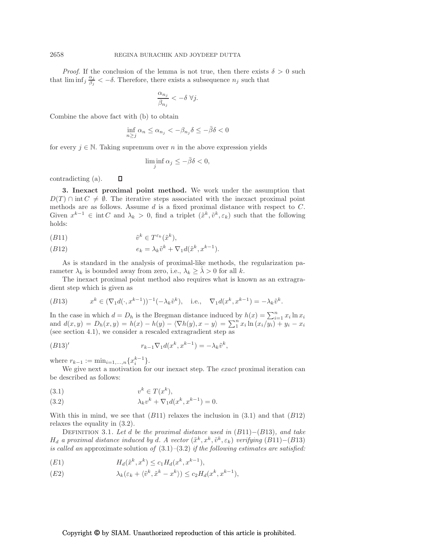*Proof.* If the conclusion of the lemma is not true, then there exists  $\delta > 0$  such that  $\liminf_j \frac{\alpha_j}{\beta_j}$  $\frac{\alpha_j}{\beta_j} < -\delta$ . Therefore, there exists a subsequence  $n_j$  such that

$$
\frac{\alpha_{n_j}}{\beta_{n_j}}<-\delta \; \forall j.
$$

Combine the above fact with (b) to obtain

$$
\inf_{n\geq j} \alpha_n \leq \alpha_{n_j} < -\beta_{n_j}\delta \leq -\bar{\beta}\delta < 0
$$

for every  $j \in \mathbb{N}$ . Taking supremum over n in the above expression yields

$$
\liminf_{j} \alpha_j \leq -\bar{\beta}\delta < 0,
$$

 $\Box$ contradicting (a).

3. Inexact proximal point method. We work under the assumption that  $D(T) \cap \text{int } C \neq \emptyset$ . The iterative steps associated with the inexact proximal point methods are as follows. Assume  $d$  is a fixed proximal distance with respect to  $C$ . Given  $x^{k-1} \in \text{int } C$  and  $\lambda_k > 0$ , find a triplet  $(\tilde{x}^k, \tilde{v}^k, \varepsilon_k)$  such that the following holds:

$$
(B11) \t\t\t \tilde{v}^k \in T^{\varepsilon_k}(\tilde{x}^k),
$$

(B12) 
$$
e_k = \lambda_k \tilde{v}^k + \nabla_1 d(\tilde{x}^k, x^{k-1}).
$$

As is standard in the analysis of proximal-like methods, the regularization parameter  $\lambda_k$  is bounded away from zero, i.e.,  $\lambda_k \geq \lambda > 0$  for all k.

The inexact proximal point method also requires what is known as an extragradient step which is given as

(B13) 
$$
x^k \in (\nabla_1 d(\cdot, x^{k-1}))^{-1}(-\lambda_k \tilde{v}^k), \text{ i.e., } \nabla_1 d(x^k, x^{k-1}) = -\lambda_k \tilde{v}^k.
$$

In the case in which  $d = D_h$  is the Bregman distance induced by  $h(x) = \sum_{i=1}^n x_i \ln x_i$ and  $d(x, y) = D_h(x, y) = h(x) - h(y) - \langle \nabla h(y), x - y \rangle = \sum_{n=1}^{n}$  $\int_{1}^{n} x_i \ln (x_i/y_i) + y_i - x_i$ (see section 4.1), we consider a rescaled extragradient step as

$$
(B13)'\qquad \qquad r_{k-1}\nabla_1 d(x^k, x^{k-1}) = -\lambda_k \tilde{v}^k,
$$

where  $r_{k-1} := \min_{i=1,...,n} \{x_i^{k-1}\}.$ 

We give next a motivation for our inexact step. The *exact* proximal iteration can be described as follows:

$$
(3.1) \t\t vk \in T(xk),
$$

(3.2) 
$$
\lambda_k v^k + \nabla_1 d(x^k, x^{k-1}) = 0.
$$

With this in mind, we see that  $(B11)$  relaxes the inclusion in  $(3.1)$  and that  $(B12)$ relaxes the equality in (3.2).

Definition 3.1. *Let* d *be the proximal distance used in* (B11)−(B13)*, and take*  $H_d$  *a proximal distance induced by d. A vector*  $(\tilde{x}^k, x^k, \tilde{v}^k, \varepsilon_k)$  *verifying*  $(B11) - (B13)$ *is called an* approximate solution *of* (3.1)*–*(3.2) *if the following estimates are satisfied:*

(E1) 
$$
H_d(\tilde{x}^k, x^k) \le c_1 H_d(x^k, x^{k-1}),
$$

$$
(E2) \qquad \qquad \lambda_k(\varepsilon_k + \langle \tilde{v}^k, \tilde{x}^k - x^k \rangle) \le c_2 H_d(x^k, x^{k-1}),
$$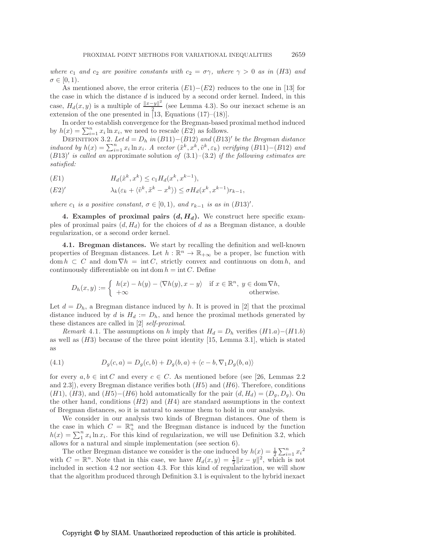*where*  $c_1$  *and*  $c_2$  *are positive constants with*  $c_2 = \sigma \gamma$ *, where*  $\gamma > 0$  *as in* (*H3*) *and*  $\sigma \in [0,1)$ .

As mentioned above, the error criteria  $(E1)-(E2)$  reduces to the one in [13] for the case in which the distance  $d$  is induced by a second order kernel. Indeed, in this case,  $H_d(x, y)$  is a multiple of  $\frac{\|x-y\|^2}{2}$  $\frac{-y_{\parallel}}{2}$  (see Lemma 4.3). So our inexact scheme is an extension of the one presented in [13, Equations  $(17)$ – $(18)$ ].

In order to establish convergence for the Bregman-based proximal method induced by  $h(x) = \sum_{i=1}^{n} x_i \ln x_i$ , we need to rescale  $(E2)$  as follows.

DEFINITION 3.2. Let  $d = D_h$  in  $(B11) - (B12)$  and  $(B13)'$  be the Bregman distance *induced by*  $h(x) = \sum_{i=1}^{n} x_i \ln x_i$ . A vector  $(\tilde{x}^k, x^k, \tilde{v}^k, \varepsilon_k)$  verifying  $(B11) - (B12)$  and (B13)′ *is called an* approximate solution *of* (3.1)*–*(3.2) *if the following estimates are satisfied:*

(E1) 
$$
H_d(\tilde{x}^k, x^k) \le c_1 H_d(x^k, x^{k-1}),
$$

$$
(E2)' \qquad \lambda_k(\varepsilon_k + \langle \tilde{v}^k, \tilde{x}^k - x^k \rangle) \le \sigma H_d(x^k, x^{k-1}) r_{k-1},
$$

*where*  $c_1$  *is a positive constant,*  $\sigma \in [0, 1)$ *, and*  $r_{k-1}$  *is as in* (B13)'.

4. Examples of proximal pairs  $(d, H_d)$ . We construct here specific examples of proximal pairs  $(d, H_d)$  for the choices of d as a Bregman distance, a double regularization, or a second order kernel.

4.1. Bregman distances. We start by recalling the definition and well-known properties of Bregman distances. Let  $h : \mathbb{R}^n \to \mathbb{R}_{+\infty}$  be a proper, lsc function with dom  $h \subset C$  and dom  $\nabla h = \text{int } C$ , strictly convex and continuous on dom h, and continuously differentiable on int dom  $h = \text{int } C$ . Define

$$
D_h(x, y) := \begin{cases} h(x) - h(y) - \langle \nabla h(y), x - y \rangle & \text{if } x \in \mathbb{R}^n, y \in \text{dom } \nabla h, \\ +\infty & \text{otherwise.} \end{cases}
$$

Let  $d = D_h$ , a Bregman distance induced by h. It is proved in [2] that the proximal distance induced by d is  $H_d := D_h$ , and hence the proximal methods generated by these distances are called in [2] *self-proximal*.

*Remark* 4.1. The assumptions on h imply that  $H_d = D_h$  verifies  $(H1.a) - (H1.b)$ as well as  $(H3)$  because of the three point identity [15, Lemma 3.1], which is stated as

(4.1) 
$$
D_g(c,a) = D_g(c,b) + D_g(b,a) + \langle c-b, \nabla_1 D_g(b,a) \rangle
$$

for every  $a, b \in \text{int } C$  and every  $c \in C$ . As mentioned before (see [26, Lemmas 2.2] and 2.3]), every Bregman distance verifies both  $(H5)$  and  $(H6)$ . Therefore, conditions  $(H1), (H3),$  and  $(H5)–(H6)$  hold automatically for the pair  $(d, H_d)=(D_q, D_q)$ . On the other hand, conditions  $(H2)$  and  $(H4)$  are standard assumptions in the context of Bregman distances, so it is natural to assume them to hold in our analysis.

We consider in our analysis two kinds of Bregman distances. One of them is the case in which  $C = \mathbb{R}^n_+$  and the Bregman distance is induced by the function  $h(x) = \sum_1^n$  $\int_1^n x_i \ln x_i$ . For this kind of regularization, we will use Definition 3.2, which allows for a natural and simple implementation (see section 6).

The other Bregman distance we consider is the one induced by  $h(x) = \frac{1}{2} \sum_{i=1}^{n} x_i^2$ with  $C = \mathbb{R}^n$ . Note that in this case, we have  $H_d(x, y) = \frac{1}{2} ||x - y||^2$ , which is not included in section 4.2 nor section 4.3. For this kind of regularization, we will show that the algorithm produced through Definition 3.1 is equivalent to the hybrid inexact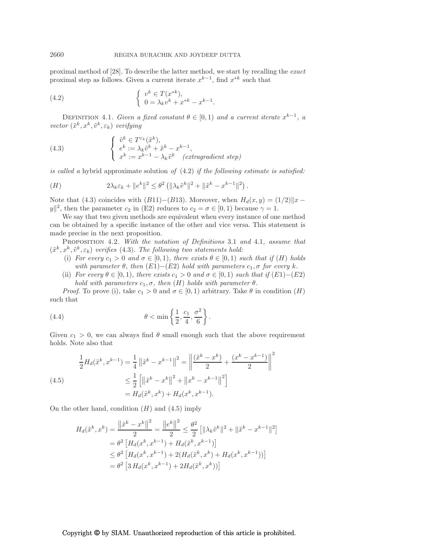proximal method of [28]. To describe the latter method, we start by recalling the *exact* proximal step as follows. Given a current iterate  $x^{k-1}$ , find  $x^{*k}$  such that

(4.2) 
$$
\begin{cases} v^k \in T(x^{*k}), \\ 0 = \lambda_k v^k + x^{*k} - x^{k-1}. \end{cases}
$$

DEFINITION 4.1. *Given a fixed constant*  $\theta \in [0,1)$  *and a current iterate*  $x^{k-1}$ , *a*  $vector\left(\tilde{x}^k, x^k, \tilde{v}^k, \varepsilon_k\right)$  *verifying* 

(4.3) 
$$
\begin{cases} \tilde{v}^k \in T^{\varepsilon_k}(\tilde{x}^k), \\ e^k := \lambda_k \tilde{v}^k + \tilde{x}^k - x^{k-1}, \\ x^k := x^{k-1} - \lambda_k \tilde{v}^k \quad (extragradient step) \end{cases}
$$

*is called a* hybrid approximate solution *of* (4.2) *if the following estimate is satisfied:*

(H) 
$$
2\lambda_k \varepsilon_k + ||e^k||^2 \leq \theta^2 \left( ||\lambda_k \tilde{v}^k||^2 + ||\tilde{x}^k - x^{k-1}||^2 \right).
$$

Note that (4.3) coincides with  $(B11)-(B13)$ . Moreover, when  $H_d(x,y) = (1/2) \|x - y\|$  $|y||^2$ , then the parameter  $c_2$  in (E2) reduces to  $c_2 = \sigma \in [0, 1)$  because  $\gamma = 1$ .

We say that two given methods are equivalent when every instance of one method can be obtained by a specific instance of the other and vice versa. This statement is made precise in the next proposition.

Proposition 4.2. *With the notation of Definitions* 3.1 *and* 4.1*, assume that*  $(\tilde{x}^k, x^k, \tilde{v}^k, \varepsilon_k)$  *verifies* (4.3). The following two statements hold:

- (i) *For every*  $c_1 > 0$  *and*  $\sigma \in [0,1)$ *, there exists*  $\theta \in [0,1)$  *such that if*  $(H)$  *holds with parameter*  $\theta$ *, then*  $(E1) - (E2)$  *hold with parameters*  $c_1$ *,*  $\sigma$  *for every k.*
- (ii) *For every*  $\theta \in [0, 1)$ *, there exists*  $c_1 > 0$  *and*  $\sigma \in [0, 1)$  *such that if*  $(E1) (E2)$ *hold with parameters*  $c_1, \sigma$ , then  $(H)$  *holds with parameter*  $\theta$ .

*Proof.* To prove (i), take  $c_1 > 0$  and  $\sigma \in [0, 1)$  arbitrary. Take  $\theta$  in condition  $(H)$ such that

(4.4) 
$$
\theta < \min \left\{ \frac{1}{2}, \frac{c_1}{4}, \frac{\sigma^2}{6} \right\}.
$$

Given  $c_1 > 0$ , we can always find  $\theta$  small enough such that the above requirement holds. Note also that

(4.5)  
\n
$$
\frac{1}{2}H_d(\tilde{x}^k, x^{k-1}) = \frac{1}{4} ||\tilde{x}^k - x^{k-1}||^2 = \left\| \frac{(\tilde{x}^k - x^k)}{2} + \frac{(x^k - x^{k-1})}{2} \right\|^2
$$
\n
$$
\leq \frac{1}{2} \left[ \left\| \tilde{x}^k - x^k \right\|^2 + \left\| x^k - x^{k-1} \right\|^2 \right]
$$
\n
$$
= H_d(\tilde{x}^k, x^k) + H_d(x^k, x^{k-1}).
$$

On the other hand, condition  $(H)$  and  $(4.5)$  imply

$$
H_d(\tilde{x}^k, x^k) = \frac{\left\|\tilde{x}^k - x^k\right\|^2}{2} = \frac{\left\|e^k\right\|^2}{2} \le \frac{\theta^2}{2} \left[\|\lambda_k \tilde{v}^k\|^2 + \|\tilde{x}^k - x^{k-1}\|^2\right]
$$
  
\n
$$
= \theta^2 \left[H_d(x^k, x^{k-1}) + H_d(\tilde{x}^k, x^{k-1})\right]
$$
  
\n
$$
\le \theta^2 \left[H_d(x^k, x^{k-1}) + 2(H_d(\tilde{x}^k, x^k) + H_d(x^k, x^{k-1}))\right]
$$
  
\n
$$
= \theta^2 \left[3 H_d(x^k, x^{k-1}) + 2H_d(\tilde{x}^k, x^k))\right]
$$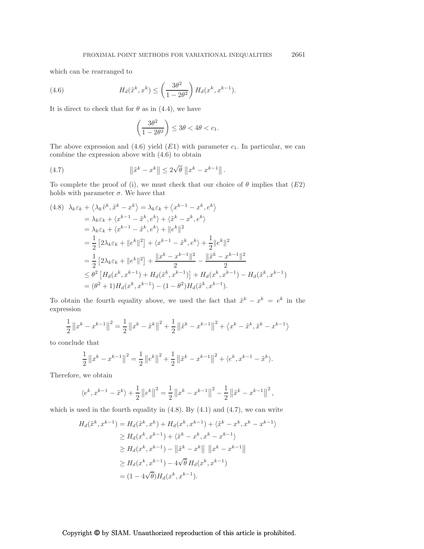which can be rearranged to

(4.6) 
$$
H_d(\tilde{x}^k, x^k) \le \left(\frac{3\theta^2}{1 - 2\theta^2}\right) H_d(x^k, x^{k-1}).
$$

It is direct to check that for  $\theta$  as in (4.4), we have

$$
\left(\frac{3\theta^2}{1-2\theta^2}\right) \le 3\theta < 4\theta < c_1.
$$

The above expression and  $(4.6)$  yield  $(E1)$  with parameter  $c_1$ . In particular, we can combine the expression above with (4.6) to obtain

(4.7) 
$$
\|\tilde{x}^{k} - x^{k}\| \le 2\sqrt{\theta} \|x^{k} - x^{k-1}\|.
$$

To complete the proof of (i), we must check that our choice of  $\theta$  implies that  $(E2)$ holds with parameter  $\sigma$ . We have that

$$
(4.8) \ \lambda_k \varepsilon_k + \langle \lambda_k \tilde{v}^k, \tilde{x}^k - x^k \rangle = \lambda_k \varepsilon_k + \langle x^{k-1} - x^k, e^k \rangle
$$
  
\n
$$
= \lambda_k \varepsilon_k + \langle x^{k-1} - \tilde{x}^k, e^k \rangle + \langle \tilde{x}^k - x^k, e^k \rangle
$$
  
\n
$$
= \lambda_k \varepsilon_k + \langle x^{k-1} - \tilde{x}^k, e^k \rangle + ||e^k||^2
$$
  
\n
$$
= \frac{1}{2} \left[ 2\lambda_k \varepsilon_k + ||e^k||^2 \right] + \langle x^{k-1} - \tilde{x}^k, e^k \rangle + \frac{1}{2} ||e^k||^2
$$
  
\n
$$
= \frac{1}{2} \left[ 2\lambda_k \varepsilon_k + ||e^k||^2 \right] + \frac{||x^k - x^{k-1}||^2}{2} - \frac{||\tilde{x}^k - x^{k-1}||^2}{2}
$$
  
\n
$$
\leq \theta^2 \left[ H_d(x^k, x^{k-1}) + H_d(\tilde{x}^k, x^{k-1}) \right] + H_d(x^k, x^{k-1}) - H_d(\tilde{x}^k, x^{k-1})
$$
  
\n
$$
= (\theta^2 + 1) H_d(x^k, x^{k-1}) - (1 - \theta^2) H_d(\tilde{x}^k, x^{k-1}).
$$

To obtain the fourth equality above, we used the fact that  $\tilde{x}^k - x^k = e^k$  in the expression

$$
\frac{1}{2} ||x^{k} - x^{k-1}||^{2} = \frac{1}{2} ||x^{k} - \tilde{x}^{k}||^{2} + \frac{1}{2} ||\tilde{x}^{k} - x^{k-1}||^{2} + \langle x^{k} - \tilde{x}^{k}, \tilde{x}^{k} - x^{k-1} \rangle
$$

to conclude that

$$
\frac{1}{2} ||x^{k} - x^{k-1}||^{2} = \frac{1}{2} ||e^{k}||^{2} + \frac{1}{2} ||\tilde{x}^{k} - x^{k-1}||^{2} + \langle e^{k}, x^{k-1} - \tilde{x}^{k} \rangle.
$$

Therefore, we obtain

$$
\langle e^k, x^{k-1} - \tilde{x}^k \rangle + \frac{1}{2} ||e^k||^2 = \frac{1}{2} ||x^k - x^{k-1}||^2 - \frac{1}{2} ||\tilde{x}^k - x^{k-1}||^2,
$$

which is used in the fourth equality in  $(4.8)$ . By  $(4.1)$  and  $(4.7)$ , we can write

$$
H_d(\tilde{x}^k, x^{k-1}) = H_d(\tilde{x}^k, x^k) + H_d(x^k, x^{k-1}) + \langle \tilde{x}^k - x^k, x^k - x^{k-1} \rangle
$$
  
\n
$$
\geq H_d(x^k, x^{k-1}) + \langle \tilde{x}^k - x^k, x^k - x^{k-1} \rangle
$$
  
\n
$$
\geq H_d(x^k, x^{k-1}) - ||\tilde{x}^k - x^k|| ||x^k - x^{k-1}||
$$
  
\n
$$
\geq H_d(x^k, x^{k-1}) - 4\sqrt{\theta} H_d(x^k, x^{k-1})
$$
  
\n
$$
= (1 - 4\sqrt{\theta}) H_d(x^k, x^{k-1}).
$$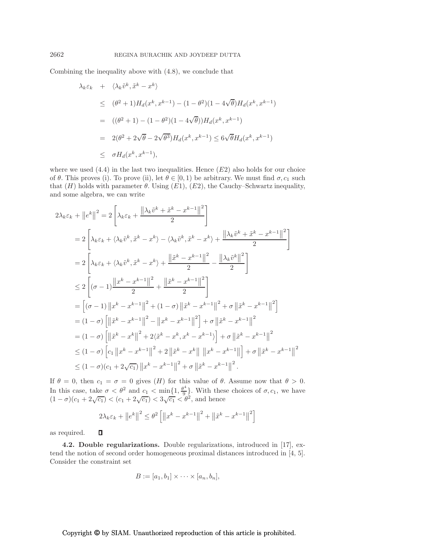Combining the inequality above with (4.8), we conclude that

$$
\lambda_k \varepsilon_k + \langle \lambda_k \tilde{v}^k, \tilde{x}^k - x^k \rangle
$$
  
\n
$$
\leq (\theta^2 + 1) H_d(x^k, x^{k-1}) - (1 - \theta^2)(1 - 4\sqrt{\theta}) H_d(x^k, x^{k-1})
$$
  
\n
$$
= ((\theta^2 + 1) - (1 - \theta^2)(1 - 4\sqrt{\theta})) H_d(x^k, x^{k-1})
$$
  
\n
$$
= 2(\theta^2 + 2\sqrt{\theta} - 2\sqrt{\theta^3}) H_d(x^k, x^{k-1}) \leq 6\sqrt{\theta} H_d(x^k, x^{k-1})
$$
  
\n
$$
\leq \sigma H_d(x^k, x^{k-1}),
$$

where we used  $(4.4)$  in the last two inequalities. Hence  $(E2)$  also holds for our choice of  $\theta$ . This proves (i). To prove (ii), let  $\theta \in [0,1)$  be arbitrary. We must find  $\sigma$ ,  $c_1$  such that  $(H)$  holds with parameter  $\theta$ . Using  $(E1)$ ,  $(E2)$ , the Cauchy–Schwartz inequality, and some algebra, we can write

$$
2\lambda_{k}\varepsilon_{k} + ||e^{k}||^{2} = 2\left[\lambda_{k}\varepsilon_{k} + \frac{||\lambda_{k}\tilde{v}^{k} + \tilde{x}^{k} - x^{k-1}||^{2}}{2}\right]
$$
  
\n
$$
= 2\left[\lambda_{k}\varepsilon_{k} + \langle\lambda_{k}\tilde{v}^{k}, \tilde{x}^{k} - x^{k}\rangle - \langle\lambda_{k}\tilde{v}^{k}, \tilde{x}^{k} - x^{k}\rangle + \frac{||\lambda_{k}\tilde{v}^{k} + \tilde{x}^{k} - x^{k-1}||^{2}}{2}\right]
$$
  
\n
$$
= 2\left[\lambda_{k}\varepsilon_{k} + \langle\lambda_{k}\tilde{v}^{k}, \tilde{x}^{k} - x^{k}\rangle + \frac{||\tilde{x}^{k} - x^{k-1}||^{2}}{2} - \frac{||\lambda_{k}\tilde{v}^{k}||^{2}}{2}\right]
$$
  
\n
$$
\leq 2\left[(\sigma - 1)\frac{||x^{k} - x^{k-1}||^{2}}{2} + \frac{||\tilde{x}^{k} - x^{k-1}||^{2}}{2}\right]
$$
  
\n
$$
= \left[(\sigma - 1)||x^{k} - x^{k-1}||^{2} + (1 - \sigma)||\tilde{x}^{k} - x^{k-1}||^{2} + \sigma||\tilde{x}^{k} - x^{k-1}||^{2}\right]
$$
  
\n
$$
= (1 - \sigma)\left[\left(\left|\tilde{x}^{k} - x^{k-1}\right|\right]^{2} - \left||x^{k} - x^{k-1}||^{2}\right] + \sigma\left\|\tilde{x}^{k} - x^{k-1}||^{2}\right\|^{2}
$$
  
\n
$$
\leq (1 - \sigma)\left[c_{1}||x^{k} - x^{k-1}||^{2} + 2\left\|\tilde{x}^{k} - x^{k}||^{2} + x^{k-1}||^{2} + \sigma\left\|\tilde{x}^{k} - x^{k-1}||^{2}\right\|^{2}\right]
$$
  
\n
$$
\leq (1 - \sigma)(c_{1} + 2\sqrt{c_{1}})||x^{k} - x^{k-1}||^{2} + \sigma\left\|\tilde{x}^{k} - x^{k-1}||^{
$$

If  $\theta = 0$ , then  $c_1 = \sigma = 0$  gives  $(H)$  for this value of  $\theta$ . Assume now that  $\theta > 0$ . In this case, take  $\sigma < \theta^2$  and  $c_1 < \min\{1, \frac{\theta^4}{9}\}$  $\left\{\frac{a}{9}\right\}$ . With these choices of  $\sigma$ ,  $c_1$ , we have  $(1 - \sigma)(c_1 + 2\sqrt{c_1}) < (c_1 + 2\sqrt{c_1}) < 3\sqrt{c_1} < \theta^2$ , and hence

$$
2\lambda_k \varepsilon_k + ||e^k||^2 \le \theta^2 \left[ ||x^k - x^{k-1}||^2 + ||\tilde{x}^k - x^{k-1}||^2 \right]
$$

 $\Box$ as required.

4.2. Double regularizations. Double regularizations, introduced in [17], extend the notion of second order homogeneous proximal distances introduced in [4, 5]. Consider the constraint set

$$
B := [a_1, b_1] \times \cdots \times [a_n, b_n],
$$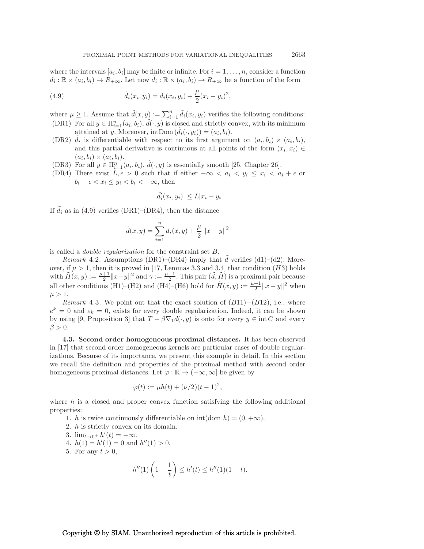where the intervals  $[a_i, b_i]$  may be finite or infinite. For  $i = 1, \ldots, n$ , consider a function  $d_i: \mathbb{R} \times (a_i, b_i) \to \hat{R}_{+\infty}$ . Let now  $\tilde{d}_i: \mathbb{R} \times (a_i, b_i) \to R_{+\infty}$  be a function of the form

(4.9) 
$$
\tilde{d}_i(x_i, y_i) = d_i(x_i, y_i) + \frac{\mu}{2}(x_i - y_i)^2,
$$

where  $\mu \geq 1$ . Assume that  $\tilde{d}(x, y) := \sum_{i=1}^{n}$  $\tilde{d}_i(x_i, y_i)$  verifies the following conditions: (DR1) For all  $y \in \Pi_{i=1}^n(a_i, b_i)$ ,  $\tilde{d}(\cdot, y)$  is closed and strictly convex, with its minimum attained at y. Moreover, intDom  $(\tilde{d}_i(\cdot, y_i)) = (a_i, b_i)$ .

- (DR2)  $\tilde{d}_i$  is differentiable with respect to its first argument on  $(a_i, b_i) \times (a_i, b_i)$ , and this partial derivative is continuous at all points of the form  $(x_i, x_i) \in$  $(a_i, b_i) \times (a_i, b_i).$
- (DR3) For all  $y \in \Pi_{i=1}^n(a_i, b_i)$ ,  $\tilde{d}(\cdot, y)$  is essentially smooth [25, Chapter 26].
- (DR4) There exist  $L, \epsilon > 0$  such that if either  $-\infty < a_i < y_i \leq x_i < a_i + \epsilon$  or  $b_i - \epsilon < x_i \leq y_i < b_i < +\infty$ , then

$$
|\tilde{d}'_i(x_i, y_i)| \le L|x_i - y_i|.
$$

If  $\tilde{d}_i$  as in (4.9) verifies (DR1)–(DR4), then the distance

$$
\tilde{d}(x, y) = \sum_{i=1}^{n} d_i(x, y) + \frac{\mu}{2} ||x - y||^2
$$

is called a *double regularization* for the constraint set B.

*Remark* 4.2. Assumptions  $(DR1)$ – $(DR4)$  imply that d verifies (d1)–(d2). Moreover, if  $\mu > 1$ , then it is proved in [17, Lemmas 3.3 and 3.4] that condition (H3) holds with  $\tilde{H}(x, y) := \frac{\mu + 1}{2} ||x - y||^2$  and  $\gamma := \frac{\mu - 1}{2}$ . This pair  $(\tilde{d}, \tilde{H})$  is a proximal pair because all other conditions (H1)–(H2) and (H4)–(H6) hold for  $\tilde{H}(x, y) := \frac{\mu + 1}{2} ||x - y||^2$  when  $\mu > 1$ .

*Remark* 4.3. We point out that the exact solution of  $(B11)–(B12)$ , i.e., where  $e^k = 0$  and  $\varepsilon_k = 0$ , exists for every double regularization. Indeed, it can be shown by using [9, Proposition 3] that  $T + \beta \nabla_1 d(\cdot, y)$  is onto for every  $y \in \text{int } C$  and every  $\beta > 0$ .

4.3. Second order homogeneous proximal distances. It has been observed in [17] that second order homogeneous kernels are particular cases of double regularizations. Because of its importance, we present this example in detail. In this section we recall the definition and properties of the proximal method with second order homogeneous proximal distances. Let  $\varphi : \mathbb{R} \to (-\infty, \infty]$  be given by

$$
\varphi(t) := \mu h(t) + (\nu/2)(t - 1)^2,
$$

where  $h$  is a closed and proper convex function satisfying the following additional properties:

- 1. h is twice continuously differentiable on  $\text{int}(\text{dom } h) = (0, +\infty)$ .
- 2. h is strictly convex on its domain.
- 3.  $\lim_{t \to 0^+} h'(t) = -\infty$ .
- 4.  $h(1) = h'(1) = 0$  and  $h''(1) > 0$ .
- 5. For any  $t > 0$ ,

$$
h''(1)\left(1 - \frac{1}{t}\right) \le h'(t) \le h''(1)(1 - t).
$$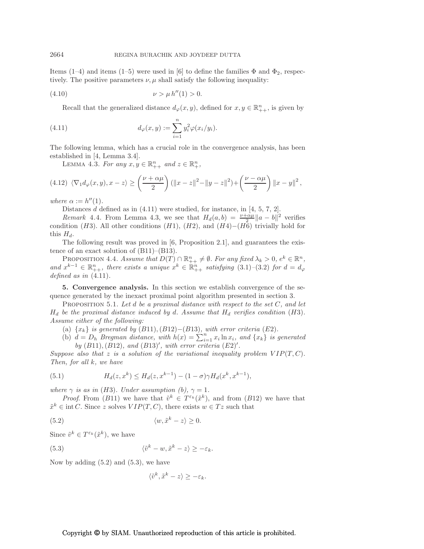Items (1–4) and items (1–5) were used in [6] to define the families  $\Phi$  and  $\Phi_2$ , respectively. The positive parameters  $\nu, \mu$  shall satisfy the following inequality:

(4.10) 
$$
\nu > \mu h''(1) > 0.
$$

Recall that the generalized distance  $d_{\varphi}(x, y)$ , defined for  $x, y \in \mathbb{R}_{++}^n$ , is given by

(4.11) 
$$
d_{\varphi}(x, y) := \sum_{i=1}^{n} y_i^2 \varphi(x_i/y_i).
$$

The following lemma, which has a crucial role in the convergence analysis, has been established in [4, Lemma 3.4].

LEMMA 4.3. For any  $x, y \in \mathbb{R}^n_{++}$  and  $z \in \mathbb{R}^n_+$ ,

$$
(4.12) \ \langle \nabla_1 d_{\varphi}(x, y), x - z \rangle \ge \left( \frac{\nu + \alpha \mu}{2} \right) (\|x - z\|^2 - \|y - z\|^2) + \left( \frac{\nu - \alpha \mu}{2} \right) \|x - y\|^2,
$$

*where*  $\alpha := h''(1)$ *.* 

Distances  $d$  defined as in  $(4.11)$  were studied, for instance, in  $[4, 5, 7, 2]$ .

*Remark* 4.4. From Lemma 4.3, we see that  $H_d(a, b) = \frac{\nu + \alpha \mu}{c^2} ||a - b||^2$  verifies condition (H3). All other conditions (H1), (H2), and (H4)−(H6) trivially hold for this  $H_d$ .

The following result was proved in [6, Proposition 2.1], and guarantees the existence of an exact solution of (B11)–(B13).

PROPOSITION 4.4. *Assume that*  $D(T) \cap \mathbb{R}_{++}^n \neq \emptyset$ . For any fixed  $\lambda_k > 0$ ,  $e^k \in \mathbb{R}^n$ , and  $x^{k-1} \in \mathbb{R}_{++}^n$ , there exists a unique  $x^k \in \mathbb{R}_{++}^n$  satisfying (3.1)–(3.2) for  $d = d_\varphi$ *defined as in* (4.11)*.*

5. Convergence analysis. In this section we establish convergence of the sequence generated by the inexact proximal point algorithm presented in section 3.

Proposition 5.1. *Let* d *be a proximal distance with respect to the set* C*, and let*  $H_d$  be the proximal distance induced by d. Assume that  $H_d$  verifies condition (H3). *Assume either of the following:*

- (a)  $\{x_k\}$  *is generated by* (B11), (B12)−(B13)*, with error criteria* (E2)*.*
- (b)  $d = D_h$  *Bregman distance, with*  $h(x) = \sum_{i=1}^n x_i \ln x_i$ *, and*  $\{x_k\}$  *is generated* by  $(B11), (B12), and (B13)'$ , with error criteria  $(E2)'$ .

*Suppose also that* z *is a solution of the variational inequality problem*  $VIP(T, C)$ *. Then, for all* k*, we have*

(5.1) 
$$
H_d(z, x^k) \le H_d(z, x^{k-1}) - (1 - \sigma) \gamma H_d(x^k, x^{k-1}),
$$

*where*  $\gamma$  *is as in* (*H3*)*. Under assumption* (*b*),  $\gamma = 1$ *.* 

*Proof.* From (B11) we have that  $\tilde{v}^k \in T^{\varepsilon_k}(\tilde{x}^k)$ , and from (B12) we have that  $\tilde{x}^k \in \text{int } C$ . Since z solves  $VIP(T, C)$ , there exists  $w \in Tz$  such that

$$
(5.2) \t\t \langle w, \tilde{x}^k - z \rangle \ge 0.
$$

Since  $\tilde{v}^k \in T^{\varepsilon_k}(\tilde{x}^k)$ , we have

(5.3) 
$$
\langle \tilde{v}^k - w, \tilde{x}^k - z \rangle \ge -\varepsilon_k.
$$

Now by adding  $(5.2)$  and  $(5.3)$ , we have

$$
\langle \tilde{v}^k, \tilde{x}^k - z \rangle \ge -\varepsilon_k.
$$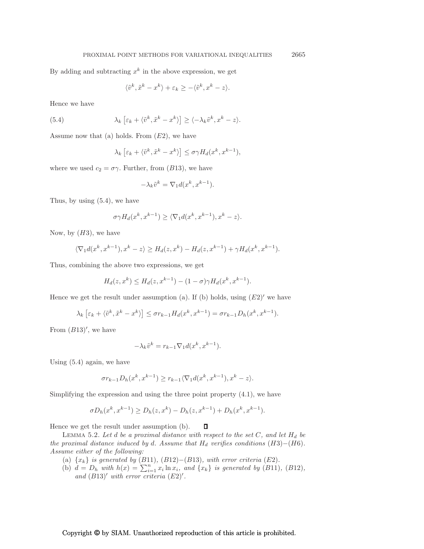By adding and subtracting  $x^k$  in the above expression, we get

$$
\langle \tilde{v}^k, \tilde{x}^k - x^k \rangle + \varepsilon_k \ge -\langle \tilde{v}^k, x^k - z \rangle.
$$

Hence we have

(5.4) 
$$
\lambda_k \left[ \varepsilon_k + \langle \tilde{v}^k, \tilde{x}^k - x^k \rangle \right] \ge \langle -\lambda_k \tilde{v}^k, x^k - z \rangle.
$$

Assume now that (a) holds. From  $(E2)$ , we have

$$
\lambda_k \left[ \varepsilon_k + \langle \tilde{v}^k, \tilde{x}^k - x^k \rangle \right] \le \sigma \gamma H_d(x^k, x^{k-1}),
$$

where we used  $c_2 = \sigma \gamma$ . Further, from (B13), we have

$$
-\lambda_k \tilde{v}^k = \nabla_1 d(x^k, x^{k-1}).
$$

Thus, by using (5.4), we have

$$
\sigma \gamma H_d(x^k, x^{k-1}) \ge \langle \nabla_1 d(x^k, x^{k-1}), x^k - z \rangle.
$$

Now, by  $(H3)$ , we have

$$
\langle \nabla_1 d(x^k, x^{k-1}), x^k - z \rangle \ge H_d(z, x^k) - H_d(z, x^{k-1}) + \gamma H_d(x^k, x^{k-1}).
$$

Thus, combining the above two expressions, we get

$$
H_d(z, x^k) \le H_d(z, x^{k-1}) - (1 - \sigma) \gamma H_d(x^k, x^{k-1}).
$$

Hence we get the result under assumption (a). If (b) holds, using  $(E2)'$  we have

$$
\lambda_k \left[ \varepsilon_k + \langle \tilde{v}^k, \tilde{x}^k - x^k \rangle \right] \leq \sigma r_{k-1} H_d(x^k, x^{k-1}) = \sigma r_{k-1} D_h(x^k, x^{k-1}).
$$

From  $(B13)'$ , we have

$$
-\lambda_k \tilde{v}^k = r_{k-1} \nabla_1 d(x^k, x^{k-1}).
$$

Using (5.4) again, we have

$$
\sigma r_{k-1}D_h(x^k,x^{k-1})\geq r_{k-1}\langle \nabla_1d(x^k,x^{k-1}),x^k-z\rangle.
$$

Simplifying the expression and using the three point property (4.1), we have

$$
\sigma D_h(x^k, x^{k-1}) \ge D_h(z, x^k) - D_h(z, x^{k-1}) + D_h(x^k, x^{k-1}).
$$

Hence we get the result under assumption (b).  $\Box$ 

LEMMA 5.2. Let  $d$  be a proximal distance with respect to the set  $C$ , and let  $H_d$  be *the proximal distance induced by* d*. Assume that*  $H_d$  *verifies conditions*  $(H3)–(H6)$ *. Assume either of the following:*

- (a)  $\{x_k\}$  *is generated by* (B11)*,* (B12)–(B13)*, with error criteria* (E2)*.*
- (b)  $d = D_h$  with  $h(x) = \sum_{i=1}^n x_i \ln x_i$ *, and*  $\{x_k\}$  *is generated by* (B11)*,* (B12*),* and  $(B13)'$  *with error criteria*  $(E2)'$ *.*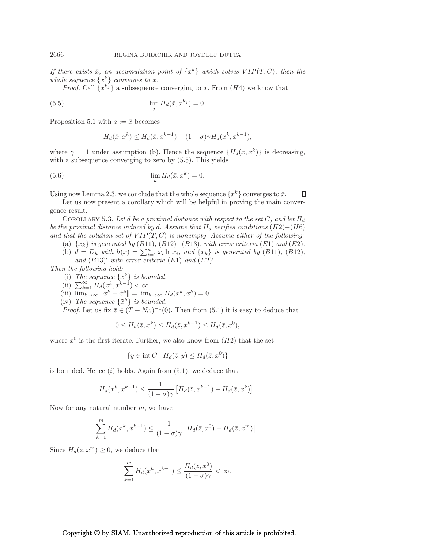*If there exists*  $\bar{x}$ *, an accumulation point of*  $\{x^k\}$  *which solves*  $VIP(T, C)$ *, then the whole sequence*  $\{x^k\}$  *converges to*  $\bar{x}$ *.* 

*Proof.* Call  $\{x^{k_j}\}\$ a subsequence converging to  $\bar{x}$ . From  $(H4)$  we know that

(5.5) 
$$
\lim_{j} H_d(\bar{x}, x^{k_j}) = 0.
$$

Proposition 5.1 with  $z := \bar{x}$  becomes

$$
H_d(\bar{x}, x^k) \le H_d(\bar{x}, x^{k-1}) - (1 - \sigma) \gamma H_d(x^k, x^{k-1}),
$$

where  $\gamma = 1$  under assumption (b). Hence the sequence  $\{H_d(\bar{x}, x^k)\}\$ is decreasing, with a subsequence converging to zero by (5.5). This yields

$$
\lim_{k} H_d(\bar{x}, x^k) = 0.
$$

Using now Lemma 2.3, we conclude that the whole sequence  $\{x^k\}$  converges to  $\bar{x}$ .  $\Box$ 

Let us now present a corollary which will be helpful in proving the main convergence result.

COROLLARY 5.3. Let  $d$  be a proximal distance with respect to the set  $C$ , and let  $H_d$ *be the proximal distance induced by d. Assume that*  $H<sub>d</sub>$  *verifies conditions* (H2)−(H6) and that the solution set of  $VIP(T, C)$  is nonempty. Assume either of the following:

- (a)  $\{x_k\}$  *is generated by* (B11)*,* (B12)–(B13)*, with error criteria* (E1) *and* (E2)*.*
- (b)  $d = D_h$  with  $h(x) = \sum_{i=1}^n x_i \ln x_i$ , and  $\{x_k\}$  is generated by (B11), (B12), and  $(B13)'$  *with error criteria*  $(E1)$  *and*  $(E2)'$ *.*

*Then the following hold:*

- (i) The sequence  $\{x^k\}$  is bounded.
- (ii)  $\sum_{k=1}^{\infty} H_d(x^k, x^{k-1}) < \infty$ .

(iii) 
$$
\lim_{k \to \infty} ||x^k - \tilde{x}^k|| = \lim_{k \to \infty} H_d(\tilde{x}^k, x^k) = 0.
$$

(iv) The sequence  $\{\tilde{x}^k\}$  is bounded.

*Proof.* Let us fix  $\bar{z} \in (T + N_C)^{-1}(0)$ . Then from (5.1) it is easy to deduce that

$$
0 \le H_d(\bar{z}, x^k) \le H_d(\bar{z}, x^{k-1}) \le H_d(\bar{z}, x^0),
$$

where  $x^0$  is the first iterate. Further, we also know from  $(H2)$  that the set

$$
\{y \in \text{int } C : H_d(\bar{z}, y) \le H_d(\bar{z}, x^0)\}
$$

is bounded. Hence  $(i)$  holds. Again from  $(5.1)$ , we deduce that

$$
H_d(x^k, x^{k-1}) \le \frac{1}{(1-\sigma)\gamma} \left[ H_d(\overline{z}, x^{k-1}) - H_d(\overline{z}, x^k) \right].
$$

Now for any natural number  $m$ , we have

$$
\sum_{k=1}^m H_d(x^k, x^{k-1}) \le \frac{1}{(1-\sigma)\gamma} \left[ H_d(\overline{z}, x^0) - H_d(\overline{z}, x^m) \right].
$$

Since  $H_d(\bar{z}, x^m) \geq 0$ , we deduce that

$$
\sum_{k=1}^{m} H_d(x^k, x^{k-1}) \le \frac{H_d(\bar{z}, x^0)}{(1 - \sigma)\gamma} < \infty.
$$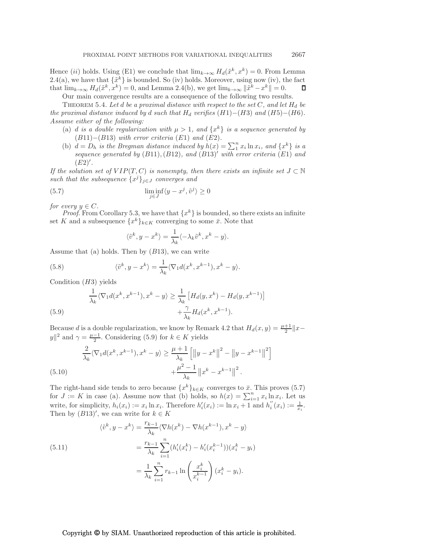Hence (*ii*) holds. Using (E1) we conclude that  $\lim_{k\to\infty} H_d(\tilde{x}^k, x^k) = 0$ . From Lemma 2.4(a), we have that  $\{\tilde{x}^k\}$  is bounded. So (iv) holds. Moreover, using now (iv), the fact that  $\lim_{k\to\infty} H_d(\tilde{x}^k, x^k) = 0$ , and Lemma 2.4(b), we get  $\lim_{k\to\infty} \|\tilde{x}^k - x^k\| = 0$ .

Our main convergence results are a consequence of the following two results.

THEOREM 5.4. Let d be a proximal distance with respect to the set  $C$ , and let  $H_d$  be *the proximal distance induced by d such that*  $H_d$  *verifies*  $(H1)–(H3)$  *and*  $(H5)–(H6)$ *. Assume either of the following:*

- (a) *d is a double regularization with*  $\mu > 1$ *, and*  $\{x^k\}$  *is a sequence generated by* (B11)−(B13) *with error criteria* (E1) *and* (E2)*.*
- (b)  $d = D_h$  is the Bregman distance induced by  $h(x) = \sum_{1}^{n}$  $\int_{1}^{n} x_i \ln x_i$ *, and*  $\{x^k\}$  *is a sequence generated by* (B11),(B12)*, and* (B13)′ *with error criteria* (E1) *and* (E2)′ *.*

*If the solution set of*  $VIP(T, C)$  *is nonempty, then there exists an infinite set*  $J \subset \mathbb{N}$ *such that the subsequence*  $\{x^j\}_{j\in J}$  *converges and* 

(5.7) 
$$
\liminf_{j \in J} \langle y - x^j, \tilde{v}^j \rangle \ge 0
$$

*for every*  $y \in C$ *.* 

*Proof.* From Corollary 5.3, we have that  $\{x^k\}$  is bounded, so there exists an infinite set K and a subsequence  $\{x^k\}_{k\in K}$  converging to some  $\bar{x}$ . Note that

$$
\langle \tilde{v}^k, y - x^k \rangle = \frac{1}{\lambda_k} \langle -\lambda_k \tilde{v}^k, x^k - y \rangle.
$$

Assume that (a) holds. Then by  $(B13)$ , we can write

(5.8) 
$$
\langle \tilde{v}^k, y - x^k \rangle = \frac{1}{\lambda_k} \langle \nabla_1 d(x^k, x^{k-1}), x^k - y \rangle.
$$

Condition  $(H3)$  yields

(5.9) 
$$
\frac{1}{\lambda_k} \langle \nabla_1 d(x^k, x^{k-1}), x^k - y \rangle \ge \frac{1}{\lambda_k} \left[ H_d(y, x^k) - H_d(y, x^{k-1}) + \frac{\gamma}{\lambda_k} H_d(x^k, x^{k-1}). \right]
$$

Because d is a double regularization, we know by Remark 4.2 that  $H_d(x, y) = \frac{\mu+1}{2} ||x |y||^2$  and  $\gamma = \frac{\mu - 1}{2}$ . Considering (5.9) for  $k \in K$  yields

1

(5.10) 
$$
\frac{2}{\lambda_k} \langle \nabla_1 d(x^k, x^{k-1}), x^k - y \rangle \ge \frac{\mu + 1}{\lambda_k} \left[ \left\| y - x^k \right\|^2 - \left\| y - x^{k-1} \right\|^2 \right] + \frac{\mu^2 - 1}{\lambda_k} \left\| x^k - x^{k-1} \right\|^2.
$$

The right-hand side tends to zero because  $\{x^k\}_{k\in K}$  converges to  $\bar{x}$ . This proves (5.7) for  $J := K$  in case (a). Assume now that (b) holds, so  $h(x) = \sum_{i=1}^{n} x_i \ln x_i$ . Let us write, for simplicity,  $h_i(x_i) := x_i \ln x_i$ . Therefore  $h'_i(x_i) := \ln x_i + 1$  and  $h''_i$  $i''(x_i) := \frac{1}{x_i}.$ Then by  $(B13)'$ , we can write for  $k \in K$ 

(5.11) 
$$
\langle \tilde{v}^{k}, y - x^{k} \rangle = \frac{r_{k-1}}{\lambda_{k}} \langle \nabla h(x^{k}) - \nabla h(x^{k-1}), x^{k} - y \rangle
$$

$$
= \frac{r_{k-1}}{\lambda_{k}} \sum_{i=1}^{n} (h'_{i}(x_{i}^{k}) - h'_{i}(x_{i}^{k-1})) (x_{i}^{k} - y_{i})
$$

$$
= \frac{1}{\lambda_{k}} \sum_{i=1}^{n} r_{k-1} \ln \left( \frac{x_{i}^{k}}{x_{i}^{k-1}} \right) (x_{i}^{k} - y_{i}).
$$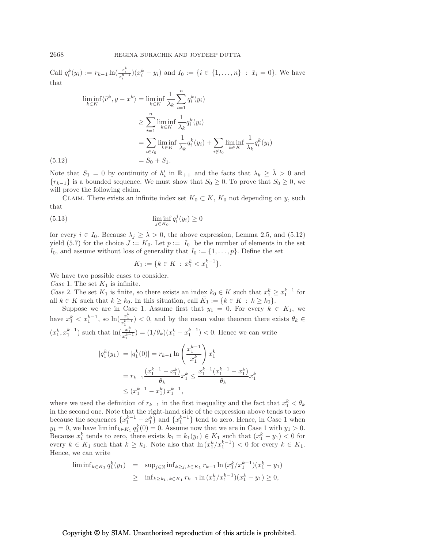Call  $q_i^k(y_i) := r_{k-1} \ln(\frac{x_i^k}{x_i^{k-1}})(x_i^k - y_i)$  and  $I_0 := \{i \in \{1, ..., n\} : \bar{x}_i = 0\}$ . We have that

$$
\liminf_{k \in K} \langle \tilde{v}^k, y - x^k \rangle = \liminf_{k \in K} \frac{1}{\lambda_k} \sum_{i=1}^n q_i^k(y_i)
$$

$$
\geq \sum_{i=1}^n \liminf_{k \in K} \frac{1}{\lambda_k} q_i^k(y_i)
$$

$$
= \sum_{i \in I_0} \liminf_{k \in K} \frac{1}{\lambda_k} q_i^k(y_i) + \sum_{i \notin I_0} \liminf_{k \in K} \frac{1}{\lambda_k} q_i^k(y_i)
$$
(5.12)
$$
= S_0 + S_1.
$$

Note that  $S_1 = 0$  by continuity of  $h'_i$  in  $\mathbb{R}_{++}$  and the facts that  $\lambda_k \geq \hat{\lambda} > 0$  and  ${r_{k-1}}$  is a bounded sequence. We must show that  $S_0 \geq 0$ . To prove that  $S_0 \geq 0$ , we will prove the following claim.

CLAIM. There exists an infinite index set  $K_0 \subset K$ ,  $K_0$  not depending on y, such that

(5.13) 
$$
\liminf_{j \in K_0} q_i^j(y_i) \ge 0
$$

for every  $i \in I_0$ . Because  $\lambda_j \geq \overline{\lambda} > 0$ , the above expression, Lemma 2.5, and (5.12) yield (5.7) for the choice  $J := K_0$ . Let  $p := |I_0|$  be the number of elements in the set  $I_0$ , and assume without loss of generality that  $I_0 := \{1, \ldots, p\}$ . Define the set

$$
K_1 := \{ k \in K \, : \, x_1^k < x_1^{k-1} \}.
$$

We have two possible cases to consider.

*Case* 1. The set  $K_1$  is infinite.

*Case* 2. The set  $K_1$  is finite, so there exists an index  $k_0 \in K$  such that  $x_1^k \ge x_1^{k-1}$  for all  $k \in K$  such that  $k \geq k_0$ . In this situation, call  $\bar{K}_1 := \{k \in K : k \geq k_0\}.$ 

Suppose we are in Case 1. Assume first that  $y_1 = 0$ . For every  $k \in K_1$ , we have  $x_1^k < x_1^{k-1}$ , so  $\ln(\frac{x_1^k}{x_1^{k-1}}) < 0$ , and by the mean value theorem there exists  $\theta_k \in$  $(x_1^k, x_1^{k-1})$  such that  $\ln(\frac{x_1^k}{x_1^{k-1}}) = (1/\theta_k)(x_1^k - x_1^{k-1}) < 0$ . Hence we can write

$$
|q_1^k(y_1)| = |q_1^k(0)| = r_{k-1} \ln\left(\frac{x_1^{k-1}}{x_1^k}\right) x_1^k
$$
  
=  $r_{k-1} \frac{(x_1^{k-1} - x_1^k)}{\theta_k} x_1^k \le \frac{x_1^{k-1} (x_1^{k-1} - x_1^k)}{\theta_k} x_1^k$   
 $\le (x_1^{k-1} - x_1^k) x_1^{k-1},$ 

where we used the definition of  $r_{k-1}$  in the first inequality and the fact that  $x_1^k < \theta_k$ in the second one. Note that the right-hand side of the expression above tends to zero because the sequences  $\{x_1^{k-1} - x_1^k\}$  and  $\{x_1^{k-1}\}$  tend to zero. Hence, in Case 1 when  $y_1 = 0$ , we have lim  $\inf_{k \in K_1} q_1^k(0) = 0$ . Assume now that we are in Case 1 with  $y_1 > 0$ . Because  $x_1^k$  tends to zero, there exists  $k_1 = k_1(y_1) \in K_1$  such that  $(x_1^k - y_1) < 0$  for every  $k \in K_1$  such that  $k \geq k_1$ . Note also that  $\ln (x_1^k/x_1^{k-1}) < 0$  for every  $k \in K_1$ . Hence, we can write

$$
\begin{array}{rcl}\n\liminf_{k \in K_1} q_1^k(y_1) & = & \sup_{j \in \mathbb{N}} \inf_{k \ge j, \, k \in K_1} r_{k-1} \ln \left( x_1^k / x_1^{k-1} \right) \left( x_1^k - y_1 \right) \\
& \ge \inf_{k \ge k_1, \, k \in K_1} r_{k-1} \ln \left( x_1^k / x_1^{k-1} \right) \left( x_1^k - y_1 \right) \ge 0,\n\end{array}
$$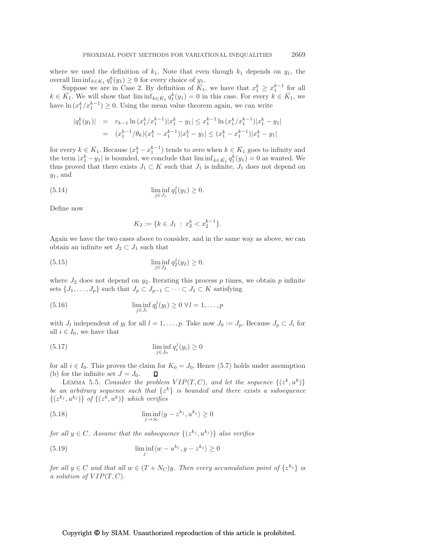where we used the definition of  $k_1$ . Note that even though  $k_1$  depends on  $y_1$ , the overall  $\liminf_{k \in K_1} q_1^k(y_1) \geq 0$  for every choice of  $y_1$ .

Suppose we are in Case 2. By definition of  $\overline{K}_1$ , we have that  $x_1^k \ge x_1^{k-1}$  for all  $k \in \overline{K}_1$ . We will show that  $\liminf_{k \in \overline{K}_1} q_1^k(y_1) = 0$  in this case. For every  $k \in \overline{K}_1$ , we have  $\ln (x_1^k / x_1^{k-1}) \geq 0$ . Using the mean value theorem again, we can write

$$
|q_1^k(y_1)| = r_{k-1} \ln (x_1^k/x_1^{k-1}) |x_1^k - y_1| \le x_1^{k-1} \ln (x_1^k/x_1^{k-1}) |x_1^k - y_1|
$$
  
=  $(x_1^{k-1}/\theta_k)(x_1^k - x_1^{k-1}) |x_1^k - y_1| \le (x_1^k - x_1^{k-1}) |x_1^k - y_1|$ 

for every  $k \in \overline{K}_1$ . Because  $(x_1^k - x_1^{k-1})$  tends to zero when  $k \in \overline{K}_1$  goes to infinity and the term  $|x_1^k - y_1|$  is bounded, we conclude that  $\liminf_{k \in \bar{K}_1} q_1^k(y_1) = 0$  as wanted. We thus proved that there exists  $J_1 \subset K$  such that  $J_1$  is infinite,  $J_1$  does not depend on  $y_1$ , and

(5.14) 
$$
\liminf_{j \in J_1} q_1^j(y_1) \ge 0.
$$

Define now

$$
K_2 := \{ k \in J_1 \, : \, x_2^k < x_2^{k-1} \}.
$$

Again we have the two cases above to consider, and in the same way as above, we can obtain an infinite set  $J_2 \subset J_1$  such that

(5.15) 
$$
\liminf_{j \in J_2} q_2^j(y_2) \ge 0,
$$

where  $J_2$  does not depend on  $y_2$ . Iterating this process p times, we obtain p infinite sets  $\{J_1,\ldots,J_p\}$  such that  $J_p \subset J_{p-1} \subset \cdots \subset J_1 \subset K$  satisfying

(5.16) 
$$
\liminf_{j \in J_l} q_l^j(y_l) \ge 0 \ \forall l = 1, ..., p
$$

with  $J_l$  independent of  $y_l$  for all  $l = 1, \ldots, p$ . Take now  $J_0 := J_p$ . Because  $J_p \subset J_i$  for all  $i \in I_0$ , we have that

$$
\liminf_{j \in J_0} q_i^j(y_i) \ge 0
$$

for all  $i \in I_0$ . This proves the claim for  $K_0 = J_0$ . Hence (5.7) holds under assumption (b) for the infinite set  $J = J_0$ . (b) for the infinite set  $J = J_0$ .

LEMMA 5.5. *Consider the problem*  $VIP(T, C)$ *, and let the sequence*  $\{(z^k, u^k)\}$ *be an arbitrary sequence such that*  $\{z^k\}$  *is bounded and there exists a subsequence*  $\{(z^{k_j}, u^{k_j})\}$  of  $\{(z^k, u^k)\}$  which verifies

(5.18) 
$$
\liminf_{j \to \infty} \langle y - z^{k_j}, u^{k_j} \rangle \ge 0
$$

*for all*  $y \in C$ *. Assume that the subsequence*  $\{(z^{k_j}, u^{k_j})\}$  *also verifies* 

(5.19) 
$$
\liminf_{j} \langle w - u^{k_j}, y - z^{k_j} \rangle \ge 0
$$

*for all*  $y \in C$  *and that all*  $w \in (T + N_C)y$ *. Then every accumulation point of*  $\{z^{k_j}\}$  *is a solution of*  $VIP(T, C)$ *.*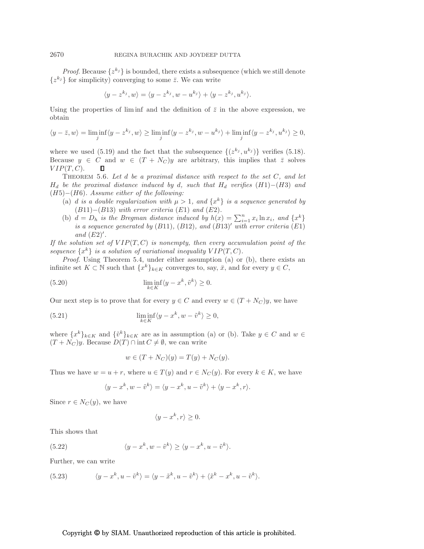*Proof.* Because  $\{z^{k_j}\}\$ is bounded, there exists a subsequence (which we still denote  $\{z^{k_j}\}\$ for simplicity) converging to some  $\bar{z}$ . We can write

$$
\langle y - z^{k_j}, w \rangle = \langle y - z^{k_j}, w - u^{k_j} \rangle + \langle y - z^{k_j}, u^{k_j} \rangle.
$$

Using the properties of liming and the definition of  $\bar{z}$  in the above expression, we obtain

$$
\langle y-\bar{z},w\rangle=\liminf_j\langle y-z^{k_j},w\rangle\geq \liminf_j\langle y-z^{k_j},w-u^{k_j}\rangle+\liminf_j\langle y-z^{k_j},u^{k_j}\rangle\geq 0,
$$

where we used (5.19) and the fact that the subsequence  $\{(z^{k_j}, u^{k_j})\}$  verifies (5.18). Because  $y \in C$  and  $w \in (T + N_C)y$  are arbitrary, this implies that  $\overline{z}$  solves  $VIP(T, C)$ .  $VIP(T, C)$ .

Theorem 5.6. *Let* d *be a proximal distance with respect to the set* C*, and let*  $H_d$  *be the proximal distance induced by* d*, such that*  $H_d$  *verifies* (H1)−(H3) *and* (H5)−(H6)*. Assume either of the following:*

- (a) *d is a double regularization with*  $\mu > 1$ *, and*  $\{x^k\}$  *is a sequence generated by* (B11)−(B13) *with error criteria* (E1) *and* (E2)*.*
- (b)  $d = D_h$  *is the Bregman distance induced by*  $h(x) = \sum_{i=1}^n x_i \ln x_i$ *, and*  $\{x^k\}$ *is a sequence generated by* (B11)*,* (B12)*, and* (B13)′ *with error criteria* (E1) *and* (E2)′ *.*

*If the solution set of*  $VIP(T, C)$  *is nonempty, then every accumulation point of the* sequence  $\{x^k\}$  *is a solution of variational inequality*  $VIP(T, C)$ *.* 

*Proof*. Using Theorem 5.4, under either assumption (a) or (b), there exists an infinite set  $K \subset \mathbb{N}$  such that  $\{x^k\}_{k \in K}$  converges to, say,  $\bar{x}$ , and for every  $y \in C$ ,

(5.20) 
$$
\liminf_{k \in K} \langle y - x^k, \tilde{v}^k \rangle \ge 0.
$$

Our next step is to prove that for every  $y \in C$  and every  $w \in (T + N_C)y$ , we have

(5.21) 
$$
\liminf_{k \in K} \langle y - x^k, w - \tilde{v}^k \rangle \ge 0,
$$

where  ${x^k}_{k \in K}$  and  ${\tilde{v}^k}_{k \in K}$  are as in assumption (a) or (b). Take  $y \in C$  and  $w \in$  $(T + N_C)y$ . Because  $D(T) \cap \text{int } C \neq \emptyset$ , we can write

$$
w \in (T + N_C)(y) = T(y) + N_C(y).
$$

Thus we have  $w = u + r$ , where  $u \in T(y)$  and  $r \in N_C(y)$ . For every  $k \in K$ , we have

$$
\langle y - x^k, w - \tilde{v}^k \rangle = \langle y - x^k, u - \tilde{v}^k \rangle + \langle y - x^k, r \rangle.
$$

Since  $r \in N_C(y)$ , we have

$$
\langle y - x^k, r \rangle \ge 0.
$$

This shows that

(5.22) 
$$
\langle y - x^k, w - \tilde{v}^k \rangle \ge \langle y - x^k, u - \tilde{v}^k \rangle.
$$

Further, we can write

(5.23) 
$$
\langle y - x^k, u - \tilde{v}^k \rangle = \langle y - \tilde{x}^k, u - \tilde{v}^k \rangle + \langle \tilde{x}^k - x^k, u - \tilde{v}^k \rangle.
$$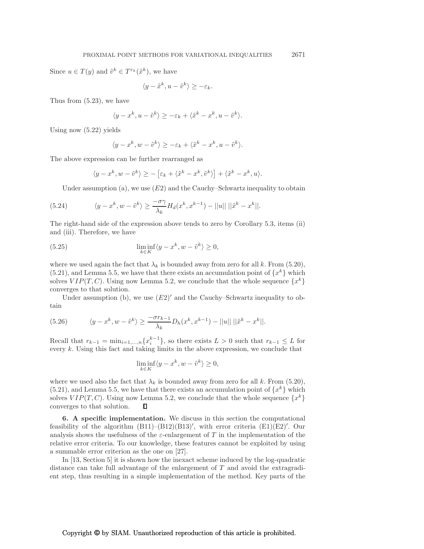Since  $u \in T(y)$  and  $\tilde{v}^k \in T^{\varepsilon_k}(\tilde{x}^k)$ , we have

$$
\langle y - \tilde{x}^k, u - \tilde{v}^k \rangle \ge -\varepsilon_k.
$$

Thus from (5.23), we have

$$
\langle y - x^k, u - \tilde{v}^k \rangle \ge -\varepsilon_k + \langle \tilde{x}^k - x^k, u - \tilde{v}^k \rangle.
$$

Using now (5.22) yields

$$
\langle y - x^k, w - \tilde{v}^k \rangle \ge -\varepsilon_k + \langle \tilde{x}^k - x^k, u - \tilde{v}^k \rangle.
$$

The above expression can be further rearranged as

$$
\langle y - x^k, w - \tilde{v}^k \rangle \ge - \left[ \varepsilon_k + \langle \tilde{x}^k - x^k, \tilde{v}^k \rangle \right] + \langle \tilde{x}^k - x^k, u \rangle.
$$

Under assumption (a), we use  $(E2)$  and the Cauchy–Schwartz inequality to obtain

(5.24) 
$$
\langle y - x^k, w - \tilde{v}^k \rangle \ge \frac{-\sigma \gamma}{\lambda_k} H_d(x^k, x^{k-1}) - ||u|| \, ||\tilde{x}^k - x^k||.
$$

The right-hand side of the expression above tends to zero by Corollary 5.3, items (ii) and (iii). Therefore, we have

(5.25) 
$$
\liminf_{k \in K} \langle y - x^k, w - \tilde{v}^k \rangle \ge 0,
$$

where we used again the fact that  $\lambda_k$  is bounded away from zero for all k. From (5.20),  $(5.21)$ , and Lemma 5.5, we have that there exists an accumulation point of  $\{x^k\}$  which solves  $VIP(T, C)$ . Using now Lemma 5.2, we conclude that the whole sequence  $\{x^k\}$ converges to that solution.

Under assumption (b), we use  $(E2)'$  and the Cauchy–Schwartz inequality to obtain

(5.26) 
$$
\langle y - x^k, w - \tilde{v}^k \rangle \ge \frac{-\sigma r_{k-1}}{\lambda_k} D_h(x^k, x^{k-1}) - ||u|| \, ||\tilde{x}^k - x^k||.
$$

Recall that  $r_{k-1} = \min_{i=1,\dots,n} \{x_i^{k-1}\}\$ , so there exists  $L > 0$  such that  $r_{k-1} \leq L$  for every k. Using this fact and taking limits in the above expression, we conclude that

$$
\liminf_{k \in K} \langle y - x^k, w - \tilde{v}^k \rangle \ge 0,
$$

where we used also the fact that  $\lambda_k$  is bounded away from zero for all k. From (5.20),  $(5.21)$ , and Lemma 5.5, we have that there exists an accumulation point of  $\{x^k\}$  which solves  $VIP(T, C)$ . Using now Lemma 5.2, we conclude that the whole sequence  $\{x^k\}$ converges to that solution.

6. A specific implementation. We discuss in this section the computational feasibility of the algorithm  $(B11)$ – $(B12)(B13)'$ , with error criteria  $(E1)(E2)'$ . Our analysis shows the usefulness of the  $\varepsilon$ -enlargement of T in the implementation of the relative error criteria. To our knowledge, these features cannot be exploited by using a summable error criterion as the one on [27].

In [13, Section 5] it is shown how the inexact scheme induced by the log-quadratic distance can take full advantage of the enlargement of  $T$  and avoid the extragradient step, thus resulting in a simple implementation of the method. Key parts of the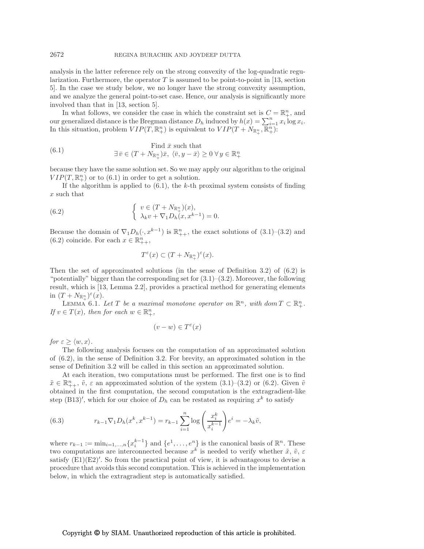analysis in the latter reference rely on the strong convexity of the log-quadratic regularization. Furthermore, the operator  $T$  is assumed to be point-to-point in [13, section 5]. In the case we study below, we no longer have the strong convexity assumption, and we analyze the general point-to-set case. Hence, our analysis is significantly more involved than that in [13, section 5].

In what follows, we consider the case in which the constraint set is  $C = \mathbb{R}^n_+$ , and our generalized distance is the Bregman distance  $D_h$  induced by  $h(x) = \sum_{i=1}^n x_i \log x_i$ . In this situation, problem  $VIP(T, \mathbb{R}^n_+)$  is equivalent to  $VIP(T + N_{\mathbb{R}^n_+}, \overline{\mathbb{R}^n_+})$ :

(6.1) Find 
$$
\bar{x}
$$
 such that  
\n
$$
\exists \bar{v} \in (T + N_{\mathbb{R}^n_+})\bar{x}, \ \langle \bar{v}, y - \bar{x} \rangle \ge 0 \ \forall \ y \in \mathbb{R}^n_+
$$

because they have the same solution set. So we may apply our algorithm to the original  $VIP(T, \mathbb{R}^n_+)$  or to (6.1) in order to get a solution.

If the algorithm is applied to  $(6.1)$ , the k-th proximal system consists of finding  $\boldsymbol{x}$  such that

(6.2) 
$$
\begin{cases} v \in (T + N_{\mathbb{R}^n_+})(x), \\ \lambda_k v + \nabla_1 D_h(x, x^{k-1}) = 0. \end{cases}
$$

Because the domain of  $\nabla_1 D_h(\cdot, x^{k-1})$  is  $\mathbb{R}_{++}^n$ , the exact solutions of  $(3.1)$ – $(3.2)$  and (6.2) coincide. For each  $x \in \mathbb{R}_{++}^n$ ,

$$
T^{\varepsilon}(x)\subset (T+N_{{\mathbb R}^n_+})^{\varepsilon}(x).
$$

Then the set of approximated solutions (in the sense of Definition 3.2) of (6.2) is "potentially" bigger than the corresponding set for  $(3.1)$ – $(3.2)$ . Moreover, the following result, which is [13, Lemma 2.2], provides a practical method for generating elements in  $(T + N_{\mathbb{R}^n_+})^{\varepsilon}(x)$ .

LEMMA 6.1. Let T be a maximal monotone operator on  $\mathbb{R}^n$ , with dom  $T \subset \mathbb{R}^n_+$ . *If*  $v \in T(x)$ *, then for each*  $w \in \mathbb{R}^n_+$ *,* 

$$
(v - w) \in T^{\varepsilon}(x)
$$

*for*  $\varepsilon \geq \langle w, x \rangle$ *.* 

The following analysis focuses on the computation of an approximated solution of (6.2), in the sense of Definition 3.2. For brevity, an approximated solution in the sense of Definition 3.2 will be called in this section an approximated solution.

At each iteration, two computations must be performed. The first one is to find  $\tilde{x} \in \mathbb{R}_{++}^n$ ,  $\tilde{v}$ ,  $\varepsilon$  an approximated solution of the system  $(3.1)$ – $(3.2)$  or  $(6.2)$ . Given  $\tilde{v}$ obtained in the first computation, the second computation is the extragradient-like step (B13)', which for our choice of  $D_h$  can be restated as requiring  $x^k$  to satisfy

(6.3) 
$$
r_{k-1} \nabla_1 D_h(x^k, x^{k-1}) = r_{k-1} \sum_{i=1}^n \log \left( \frac{x_i^k}{x_i^{k-1}} \right) e^i = -\lambda_k \tilde{v},
$$

where  $r_{k-1} := \min_{i=1,\dots,n} \{x_i^{k-1}\}\$ and  $\{e^1, \dots, e^n\}$  is the canonical basis of  $\mathbb{R}^n$ . These two computations are interconnected because  $x^k$  is needed to verify whether  $\tilde{x}, \tilde{v}, \varepsilon$ satisfy  $(E1)(E2)'$ . So from the practical point of view, it is advantageous to devise a procedure that avoids this second computation. This is achieved in the implementation below, in which the extragradient step is automatically satisfied.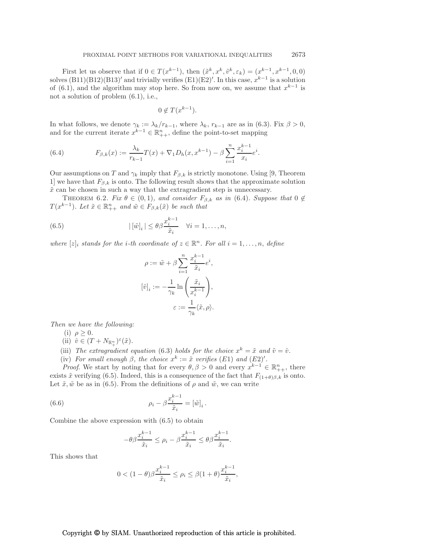First let us observe that if  $0 \in T(x^{k-1})$ , then  $(\tilde{x}^k, x^k, \tilde{v}^k, \varepsilon_k) = (x^{k-1}, x^{k-1}, 0, 0)$ solves  $(B11)(B12)(B13)'$  and trivially verifies  $(E1)(E2)'$ . In this case,  $x^{k-1}$  is a solution of (6.1), and the algorithm may stop here. So from now on, we assume that  $x^{k-1}$  is not a solution of problem (6.1), i.e.,

$$
0 \notin T(x^{k-1}).
$$

In what follows, we denote  $\gamma_k := \lambda_k / r_{k-1}$ , where  $\lambda_k$ ,  $r_{k-1}$  are as in (6.3). Fix  $\beta > 0$ , and for the current iterate  $x^{k-1} \in \mathbb{R}_{++}^n$ , define the point-to-set mapping

(6.4) 
$$
F_{\beta,k}(x) := \frac{\lambda_k}{r_{k-1}} T(x) + \nabla_1 D_h(x, x^{k-1}) - \beta \sum_{i=1}^n \frac{x_i^{k-1}}{x_i} e^i.
$$

Our assumptions on T and  $\gamma_k$  imply that  $F_{\beta,k}$  is strictly monotone. Using [9, Theorem 1] we have that  $F_{\beta,k}$  is onto. The following result shows that the approximate solution  $\tilde{x}$  can be chosen in such a way that the extragradient step is unnecessary.

THEOREM 6.2. *Fix*  $\theta \in (0,1)$ *, and consider*  $F_{\beta,k}$  *as in* (6.4)*. Suppose that*  $0 \notin$  $T(x^{k-1})$ *. Let*  $\tilde{x} \in \mathbb{R}_{++}^n$  and  $\tilde{w} \in F_{\beta,k}(\tilde{x})$  be such that

(6.5) 
$$
|\left[\tilde{w}\right]_i| \leq \theta \beta \frac{x_i^{k-1}}{\tilde{x}_i} \quad \forall i = 1, \dots, n,
$$

*where*  $[z]_i$  *stands for the i*-th coordinate of  $z \in \mathbb{R}^n$ . For all  $i = 1, ..., n$ , define

$$
\begin{aligned} \rho &:= \tilde{w} + \beta \sum_{i=1}^n \frac{x_i^{k-1}}{\tilde{x}_i} e^i, \\ [\hat{v}]_i &:= -\frac{1}{\gamma_k} \ln \left( \frac{\tilde{x}_i}{x_i^{k-1}} \right), \\ \varepsilon &:= \frac{1}{\gamma_k} \langle \tilde{x}, \rho \rangle. \end{aligned}
$$

*Then we have the following:*

(i)  $\rho \geq 0$ .

- (ii)  $\hat{v} \in (T + N_{\mathbb{R}^n_+})^{\varepsilon}(\tilde{x})$ .
- (iii) The extragradient equation (6.3) holds for the choice  $x^k = \tilde{x}$  and  $\tilde{v} = \hat{v}$ .
- (iv) *For small enough*  $\beta$ *, the choice*  $x^k := \tilde{x}$  *verifies* (E1) *and* (E2)'.

*Proof.* We start by noting that for every  $\theta, \beta > 0$  and every  $x^{k-1} \in \mathbb{R}_{++}^n$ , there exists  $\tilde{x}$  verifying (6.5). Indeed, this is a consequence of the fact that  $F_{(1+\theta)\beta,k}$  is onto. Let  $\tilde{x}, \tilde{w}$  be as in (6.5). From the definitions of  $\rho$  and  $\tilde{w}$ , we can write

(6.6) 
$$
\rho_i - \beta \frac{x_i^{k-1}}{\tilde{x}_i} = [\tilde{w}]_i.
$$

Combine the above expression with (6.5) to obtain

$$
-\theta\beta \frac{x_i^{k-1}}{\tilde x_i}\leq \rho_i-\beta \frac{x_i^{k-1}}{\tilde x_i}\leq \theta\beta \frac{x_i^{k-1}}{\tilde x_i}.
$$

This shows that

$$
0<(1-\theta)\beta\frac{x_i^{k-1}}{\tilde x_i}\leq \rho_i\leq \beta(1+\theta)\frac{x_i^{k-1}}{\tilde x_i},
$$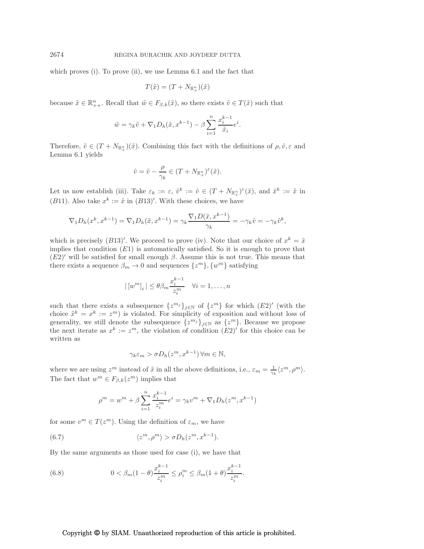which proves (i). To prove (ii), we use Lemma 6.1 and the fact that

$$
T(\tilde{x}) = (T + N_{\mathbb{R}^n_+})(\tilde{x})
$$

because  $\tilde{x} \in \mathbb{R}_{++}^n$ . Recall that  $\tilde{w} \in F_{\beta,k}(\tilde{x})$ , so there exists  $\tilde{v} \in T(\tilde{x})$  such that

$$
\tilde{w} = \gamma_k \tilde{v} + \nabla_1 D_h(\tilde{x}, x^{k-1}) - \beta \sum_{i=1}^n \frac{x_i^{k-1}}{\tilde{x}_i} e^i.
$$

Therefore,  $\tilde{v} \in (T + N_{\mathbb{R}^n_+})(\tilde{x})$ . Combining this fact with the definitions of  $\rho, \hat{v}, \varepsilon$  and Lemma 6.1 yields

$$
\hat{v} = \tilde{v} - \frac{\rho}{\gamma_k} \in (T + N_{\mathbb{R}_+^n})^{\varepsilon}(\tilde{x}).
$$

Let us now establish (iii). Take  $\varepsilon_k := \varepsilon, \ \tilde{v}^k := \hat{v} \in (T + N_{\mathbb{R}^n_+})^{\varepsilon}(\tilde{x})$ , and  $\tilde{x}^k := \tilde{x}$  in (B11). Also take  $x^k := \tilde{x}$  in (B13)'. With these choices, we have

$$
\nabla_1 D_h(x^k, x^{k-1}) = \nabla_1 D_h(\tilde{x}, x^{k-1}) = \gamma_k \frac{\nabla_1 D(\tilde{x}, x^{k-1})}{\gamma_k} = -\gamma_k \hat{v} = -\gamma_k \tilde{v}^k,
$$

which is precisely (B13)'. We proceed to prove (iv). Note that our choice of  $x^k = \tilde{x}$ implies that condition  $(E1)$  is automatically satisfied. So it is enough to prove that  $(E2)'$  will be satisfied for small enough  $\beta$ . Assume this is not true. This means that there exists a sequence  $\beta_m \to 0$  and sequences  $\{z^m\}, \{w^m\}$  satisfying

$$
|\left[w^{m}\right]_{i}| \leq \theta \beta_{m} \frac{x_{i}^{k-1}}{z_{i}^{m}} \quad \forall i = 1, \dots, n
$$

such that there exists a subsequence  $\{z^{m_j}\}_{j\in\mathbb{N}}$  of  $\{z^m\}$  for which  $(E2)'$  (with the choice  $\tilde{x}^k = x^k := z^m$  is violated. For simplicity of exposition and without loss of generality, we still denote the subsequence  $\{z^{m_j}\}_{j\in\mathbb{N}}$  as  $\{z^m\}$ . Because we propose the next iterate as  $x^k := z^m$ , the violation of condition  $(E2)'$  for this choice can be written as

$$
\gamma_k \varepsilon_m > \sigma D_h(z^m, x^{k-1}) \,\forall m \in \mathbb{N},
$$

where we are using  $z^m$  instead of  $\tilde{x}$  in all the above definitions, i.e.,  $\varepsilon_m = \frac{1}{\gamma_k} \langle z^m, \rho^m \rangle$ . The fact that  $w^m \in F_{\beta,k}(z^m)$  implies that

$$
\rho^{m} = w^{m} + \beta \sum_{i=1}^{n} \frac{x_{i}^{k-1}}{z_{i}^{m}} e^{i} = \gamma_{k} v^{m} + \nabla_{1} D_{h}(z^{m}, x^{k-1})
$$

for some  $v^m \in T(z^m)$ . Using the definition of  $\varepsilon_m$ , we have

(6.7) 
$$
\langle z^m, \rho^m \rangle > \sigma D_h(z^m, x^{k-1}).
$$

By the same arguments as those used for case (i), we have that

(6.8) 
$$
0 < \beta_m (1 - \theta) \frac{x_i^{k-1}}{z_i^m} \le \rho_i^m \le \beta_m (1 + \theta) \frac{x_i^{k-1}}{z_i^m}.
$$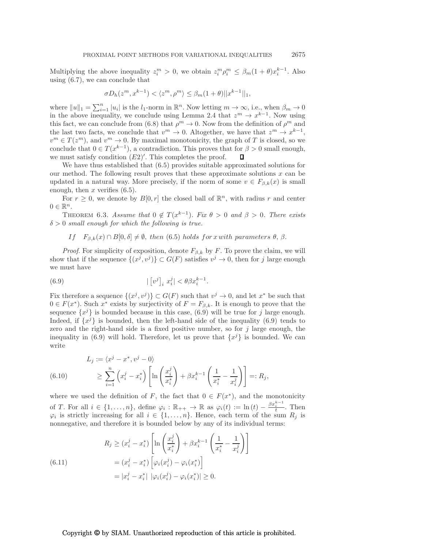Multiplying the above inequality  $z_i^m > 0$ , we obtain  $z_i^m \rho_i^m \leq \beta_m (1 + \theta) x_i^{k-1}$ . Also using (6.7), we can conclude that

$$
\sigma D_h(z^m, x^{k-1}) < \langle z^m, \rho^m \rangle \leq \beta_m (1+\theta) ||x^{k-1}||_1,
$$

where  $||u||_1 = \sum_{i=1}^n |u_i|$  is the  $l_1$ -norm in  $\mathbb{R}^n$ . Now letting  $m \to \infty$ , i.e., when  $\beta_m \to 0$ in the above inequality, we conclude using Lemma 2.4 that  $z^m \to x^{k-1}$ . Now using this fact, we can conclude from (6.8) that  $\rho^m \to 0$ . Now from the definition of  $\rho^m$  and the last two facts, we conclude that  $v^m \to 0$ . Altogether, we have that  $z^m \to x^{k-1}$ ,  $v^m \in T(z^m)$ , and  $v^m \to 0$ . By maximal monotonicity, the graph of T is closed, so we conclude that  $0 \in T(x^{k-1})$ , a contradiction. This proves that for  $\beta > 0$  small enough, we must satisfy condition  $(E2)'$ . This completes the proof.

We have thus established that (6.5) provides suitable approximated solutions for our method. The following result proves that these approximate solutions  $x$  can be updated in a natural way. More precisely, if the norm of some  $v \in F_{\beta,k}(x)$  is small enough, then  $x$  verifies  $(6.5)$ .

For  $r \geq 0$ , we denote by  $B[0, r]$  the closed ball of  $\mathbb{R}^n$ , with radius r and center  $0 \in \mathbb{R}^n$ .

THEOREM 6.3. *Assume that*  $0 \notin T(x^{k-1})$ *. Fix*  $\theta > 0$  *and*  $\beta > 0$ *. There exists* δ > 0 *small enough for which the following is true.*

If  $F_{\beta,k}(x) \cap B[0,\delta] \neq \emptyset$ , then (6.5) holds for x with parameters  $\theta$ ,  $\beta$ .

*Proof.* For simplicity of exposition, denote  $F_{\beta,k}$  by F. To prove the claim, we will show that if the sequence  $\{(x^j, v^j)\} \subset G(F)$  satisfies  $v^j \to 0$ , then for j large enough we must have

(6.9) 
$$
|\left[v^j\right]_i x_i^j| < \theta \beta x_i^{k-1}.
$$

Fix therefore a sequence  $\{(x^j, v^j)\} \subset G(F)$  such that  $v^j \to 0$ , and let  $x^*$  be such that  $0 \in F(x^*)$ . Such  $x^*$  exists by surjectivity of  $F = F_{\beta,k}$ . It is enough to prove that the sequence  ${x<sup>j</sup>}$  is bounded because in this case, (6.9) will be true for j large enough. Indeed, if  $\{x^j\}$  is bounded, then the left-hand side of the inequality (6.9) tends to zero and the right-hand side is a fixed positive number, so for  $j$  large enough, the inequality in (6.9) will hold. Therefore, let us prove that  $\{x^{j}\}\$ is bounded. We can write

(6.10) 
$$
L_j := \langle x^j - x^*, v^j - 0 \rangle
$$

$$
\geq \sum_{i=1}^n \left( x_i^j - x_i^* \right) \left[ \ln \left( \frac{x_i^j}{x_i^*} \right) + \beta x_i^{k-1} \left( \frac{1}{x_i^*} - \frac{1}{x_i^j} \right) \right] =: R_j,
$$

where we used the definition of F, the fact that  $0 \in F(x^*)$ , and the monotonicity of T. For all  $i \in \{1, ..., n\}$ , define  $\varphi_i : \mathbb{R}_{++} \to \mathbb{R}$  as  $\varphi_i(t) := \ln(t) - \frac{\beta x_i^{k-1}}{t}$ . Then  $\varphi_i$  is strictly increasing for all  $i \in \{1, \ldots, n\}$ . Hence, each term of the sum  $R_j$  is nonnegative, and therefore it is bounded below by any of its individual terms:

(6.11) 
$$
R_j \ge (x_i^j - x_i^*) \left[ \ln \left( \frac{x_i^j}{x_i^*} \right) + \beta x_i^{k-1} \left( \frac{1}{x_i^*} - \frac{1}{x_i^j} \right) \right]
$$

$$
= (x_i^j - x_i^*) \left[ \varphi_i(x_i^j) - \varphi_i(x_i^*) \right]
$$

$$
= |x_i^j - x_i^*| \ |\varphi_i(x_i^j) - \varphi_i(x_i^*)| \ge 0.
$$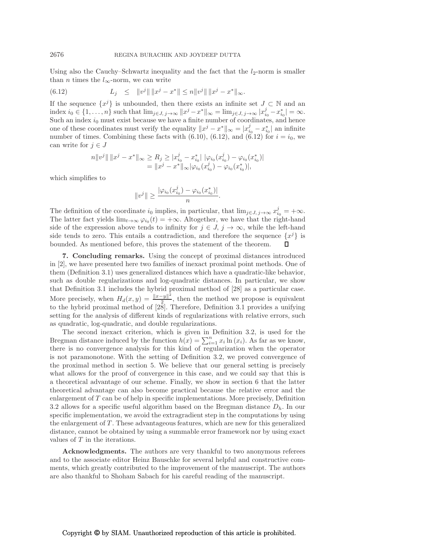Using also the Cauchy–Schwartz inequality and the fact that the  $l_2$ -norm is smaller than *n* times the  $l_{\infty}$ -norm, we can write

(6.12) 
$$
L_j \leq ||v^j|| ||x^j - x^*|| \leq n ||v^j|| ||x^j - x^*||_{\infty}.
$$

If the sequence  $\{x^j\}$  is unbounded, then there exists an infinite set  $J \subset \mathbb{N}$  and an index  $i_0 \in \{1, ..., n\}$  such that  $\lim_{j \in J, j \to \infty} ||x^j - x^*||_{\infty} = \lim_{j \in J, j \to \infty} |x_{i_0}^j - x_{i_0}^*| = \infty$ . Such an index  $i_0$  must exist because we have a finite number of coordinates, and hence one of these coordinates must verify the equality  $||x^j - x^*||_{\infty} = |x_{i_0}^j - x_{i_0}^*|$  an infinite number of times. Combining these facts with  $(6.10)$ ,  $(6.12)$ , and  $(6.12)$  for  $i = i_0$ , we can write for  $j \in J$ 

$$
n||v^j|| ||x^j - x^*||_{\infty} \ge R_j \ge |x_{i_0}^j - x_{i_0}^*| |\varphi_{i_0}(x_{i_0}^j) - \varphi_{i_0}(x_{i_0}^*)|
$$
  
=  $||x^j - x^*||_{\infty} |\varphi_{i_0}(x_{i_0}^j) - \varphi_{i_0}(x_{i_0}^*)|,$ 

which simplifies to

$$
||v^j|| \ge \frac{|\varphi_{i_0}(x_{i_0}^j) - \varphi_{i_0}(x_{i_0}^*)|}{n}
$$

.

The definition of the coordinate  $i_0$  implies, in particular, that  $\lim_{j\in J, j\to\infty} x_{i_0}^j = +\infty$ . The latter fact yields  $\lim_{t\to\infty} \varphi_{i_0}(t) = +\infty$ . Altogether, we have that the right-hand side of the expression above tends to infinity for  $j \in J$ ,  $j \to \infty$ , while the left-hand side tends to zero. This entails a contradiction, and therefore the sequence  $\{x^j\}$  is bounded. As mentioned before, this proves the statement of the theorem.

7. Concluding remarks. Using the concept of proximal distances introduced in [2], we have presented here two families of inexact proximal point methods. One of them (Definition 3.1) uses generalized distances which have a quadratic-like behavior, such as double regularizations and log-quadratic distances. In particular, we show that Definition 3.1 includes the hybrid proximal method of [28] as a particular case. More precisely, when  $H_d(x,y) = \frac{\|x-y\|^2}{2}$  $\frac{-y_{\parallel}}{2}$ , then the method we propose is equivalent to the hybrid proximal method of  $\left[\frac{28}{128}\right]$ . Therefore, Definition 3.1 provides a unifying setting for the analysis of different kinds of regularizations with relative errors, such as quadratic, log-quadratic, and double regularizations.

The second inexact criterion, which is given in Definition 3.2, is used for the Bregman distance induced by the function  $h(x) = \sum_{i=1}^{n} x_i \ln(x_i)$ . As far as we know, there is no convergence analysis for this kind of regularization when the operator is not paramonotone. With the setting of Definition 3.2, we proved convergence of the proximal method in section 5. We believe that our general setting is precisely what allows for the proof of convergence in this case, and we could say that this is a theoretical advantage of our scheme. Finally, we show in section 6 that the latter theoretical advantage can also become practical because the relative error and the enlargement of T can be of help in specific implementations. More precisely, Definition 3.2 allows for a specific useful algorithm based on the Bregman distance  $D_h$ . In our specific implementation, we avoid the extragradient step in the computations by using the enlargement of  $T$ . These advantageous features, which are new for this generalized distance, cannot be obtained by using a summable error framework nor by using exact values of T in the iterations.

Acknowledgments. The authors are very thankful to two anonymous referees and to the associate editor Heinz Bauschke for several helpful and constructive comments, which greatly contributed to the improvement of the manuscript. The authors are also thankful to Shoham Sabach for his careful reading of the manuscript.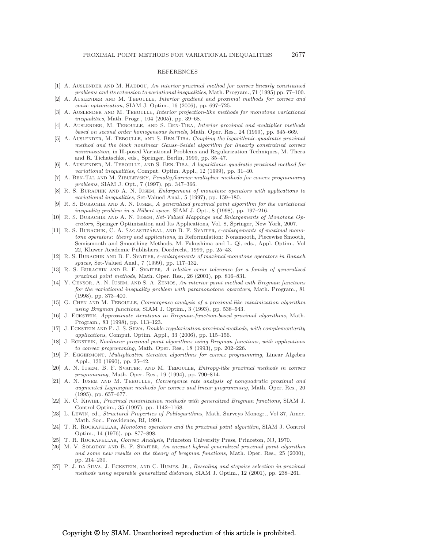#### REFERENCES

- [1] A. AUSLENDER AND M. HADDOU, *An interior proximal method for convex linearly constrained problems and its extension to variational inequalities*, Math. Program., 71 (1995) pp. 77–100.
- [2] A. Auslender and M. Teboulle, *Interior gradient and proximal methods for convex and conic optimization*, SIAM J. Optim., 16 (2006), pp. 697–725.
- [3] A. Auslender and M. Teboulle, *Interior projection-like methods for monotone variational inequalities*, Math. Progr., 104 (2005), pp. 39–68.
- [4] A. Auslender, M. Teboulle, and S. Ben-Tiba, *Interior proximal and multiplier methods based on second order homogeneous kernels*, Math. Oper. Res., 24 (1999), pp. 645–669.
- [5] A. Auslender, M. Teboulle, and S. Ben-Tiba, *Coupling the logarithmic-quadratic proximal method and the block nonlinear Gauss–Seidel algorithm for linearly constrained convex minimization*, in Ill-posed Variational Problems and Regularization Techniques, M. Thera and R. Tichatschke, eds., Springer, Berlin, 1999, pp. 35–47.
- [6] A. Auslender, M. Teboulle, and S. Ben-Tiba, *A logarithmic-quadratic proximal method for variational inequalities*, Comput. Optim. Appl., 12 (1999), pp. 31–40.
- [7] A. Ben-Tal and M. Zibulevsky, *Penalty/barrier multiplier methods for convex programming problems*, SIAM J. Opt., 7 (1997), pp. 347–366.
- [8] R. S. Burachik and A. N. Iusem, *Enlargement of monotone operators with applications to variational inequalities*, Set-Valued Anal., 5 (1997), pp. 159–180.
- [9] R. S. Burachik and A. N. Iusem, *A generalized proximal point algorithm for the variational inequality problem in a Hilbert space*, SIAM J. Opt., 8 (1998), pp. 197–216.
- [10] R. S. Burachik and A. N. Iusem, *Set-Valued Mappings and Enlargements of Monotone Operators*, Springer Optimization and Its Applications, Vol. 8, Springer, New York, 2007.
- [11] R. S. BURACHIK, C. A. SAGASTIZÁBAL, AND B. F. SVAITER,  $\epsilon$ -enlargements of maximal mono*tone operators: theory and applications*, in Reformulation: Nonsmooth, Piecewise Smooth, Semismooth and Smoothing Methods, M. Fukushima and L. Qi, eds., Appl. Optim., Vol 22, Kluwer Academic Publishers, Dordrecht, 1999, pp. 25–43.
- [12] R. S. Burachik and B. F. Svaiter, ε*-enlargements of maximal monotone operators in Banach spaces*, Set-Valued Anal., 7 (1999), pp. 117–132.
- [13] R. S. Burachik and B. F. Svaiter, *A relative error tolerance for a family of generalized proximal point methods*, Math. Oper. Res., 26 (2001), pp. 816–831.
- [14] Y. Censor, A. N. Iusem, and S. A. Zenios, *An interior point method with Bregman functions for the variational inequality problem with paramonotone operators*, Math. Program., 81 (1998), pp. 373–400.
- [15] G. Chen and M. Teboulle, *Convergence analysis of a proximal-like minimization algorithm using Bregman functions*, SIAM J. Optim., 3 (1993), pp. 538–543.
- [16] J. Eckstein, *Approximate iterations in Bregman-function-based proximal algorithms*, Math. Program., 83 (1998), pp. 113–123.
- [17] J. Eckstein and P. J. S. Silva, *Double-regularization proximal methods, with complementarity applications*, Comput. Optim. Appl., 33 (2006), pp. 115–156.
- [18] J. Eckstein, *Nonlinear proximal point algorithms using Bregman functions, with applications to convex programming*, Math. Oper. Res., 18 (1993), pp. 202–226.
- [19] P. Eggermont, *Multiplicative iterative algorithms for convex programming*, Linear Algebra Appl., 130 (1990), pp. 25–42.
- [20] A. N. Iusem, B. F. Svaiter, and M. Teboulle, *Entropy-like proximal methods in convex programming*, Math. Oper. Res., 19 (1994), pp. 790–814.
- [21] A. N. Iusem and M. Teboulle, *Convergence rate analysis of nonquadratic proximal and augmented Lagrangian methods for convex and linear programming*, Math. Oper. Res., 20 (1995), pp. 657–677.
- [22] K. C. Kiwiel, *Proximal minimization methods with generalized Bregman functions*, SIAM J. Control Optim., 35 (1997), pp. 1142–1168.
- [23] L. Lewin, ed., *Structural Properties of Polilogarithms*, Math. Surveys Monogr., Vol 37, Amer. Math. Soc., Providence, RI, 1991.
- [24] T. R. Rockafellar, *Monotone operators and the proximal point algorithm*, SIAM J. Control Optim., 14 (1976), pp. 877–898.
- [25] T. R. Rockafellar, *Convex Analysis*, Princeton University Press, Princeton, NJ, 1970.
- [26] M. V. Solodov and B. F. Svaiter, *An inexact hybrid generalized proximal point algorithm and some new results on the theory of bregman functions*, Math. Oper. Res., 25 (2000), pp. 214–230.
- [27] P. J. da Silva, J. Eckstein, and C. Humes, Jr., *Rescaling and stepsize selection in proximal methods using separable generalized distances*, SIAM J. Optim., 12 (2001), pp. 238–261.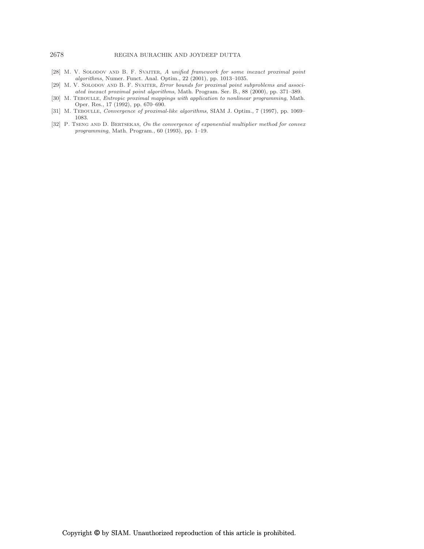## 2678 REGINA BURACHIK AND JOYDEEP DUTTA

- [28] M. V. Solodov and B. F. Svaiter, *A unified framework for some inexact proximal point algorithms*, Numer. Funct. Anal. Optim., 22 (2001), pp. 1013–1035.
- [29] M. V. SOLODOV AND B. F. SVAITER, *Error bounds for proximal point subproblems and associated inexact proximal point algorithms*, Math. Program. Ser. B., 88 (2000), pp. 371–389.
- [30] M. Teboulle, *Entropic proximal mappings with application to nonlinear programming*, Math. Oper. Res., 17 (1992), pp. 670–690.
- [31] M. Teboulle, *Convergence of proximal-like algorithms*, SIAM J. Optim., 7 (1997), pp. 1069– 1083.
- [32] P. Tseng and D. Bertsekas, *On the convergence of exponential multiplier method for convex programming*, Math. Program., 60 (1993), pp. 1–19.